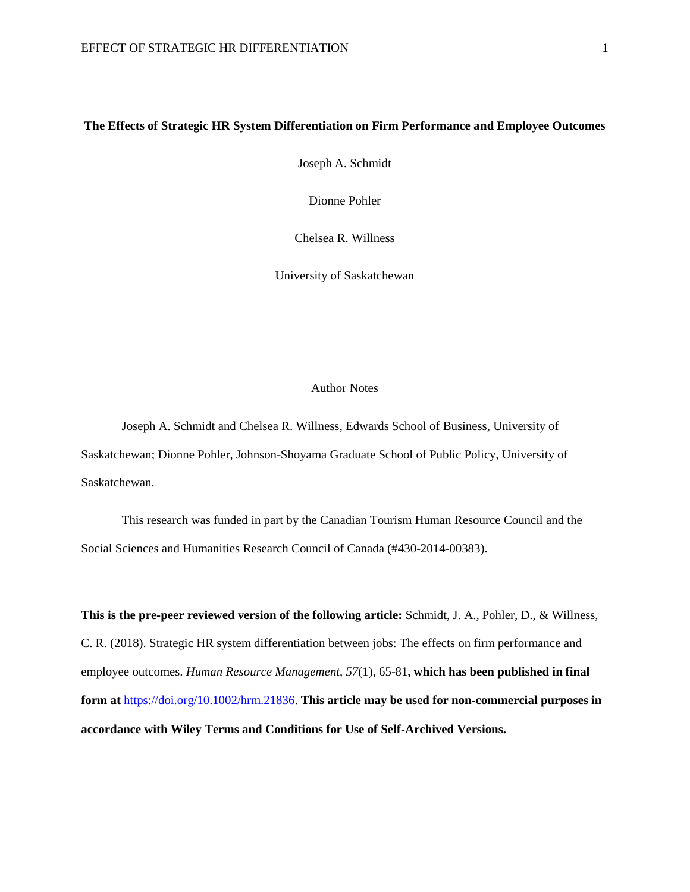# **The Effects of Strategic HR System Differentiation on Firm Performance and Employee Outcomes**

Joseph A. Schmidt

Dionne Pohler

Chelsea R. Willness

University of Saskatchewan

#### Author Notes

Joseph A. Schmidt and Chelsea R. Willness, Edwards School of Business, University of Saskatchewan; Dionne Pohler, Johnson-Shoyama Graduate School of Public Policy, University of Saskatchewan.

This research was funded in part by the Canadian Tourism Human Resource Council and the Social Sciences and Humanities Research Council of Canada (#430-2014-00383).

**This is the pre-peer reviewed version of the following article:** Schmidt, J. A., Pohler, D., & Willness, C. R. (2018). Strategic HR system differentiation between jobs: The effects on firm performance and employee outcomes. *Human Resource Management*, *57*(1), 65-81**, which has been published in final form at** [https://doi.org/10.1002/hrm.21836.](https://doi.org/10.1002/hrm.21836) **This article may be used for non-commercial purposes in accordance with Wiley Terms and Conditions for Use of Self-Archived Versions.**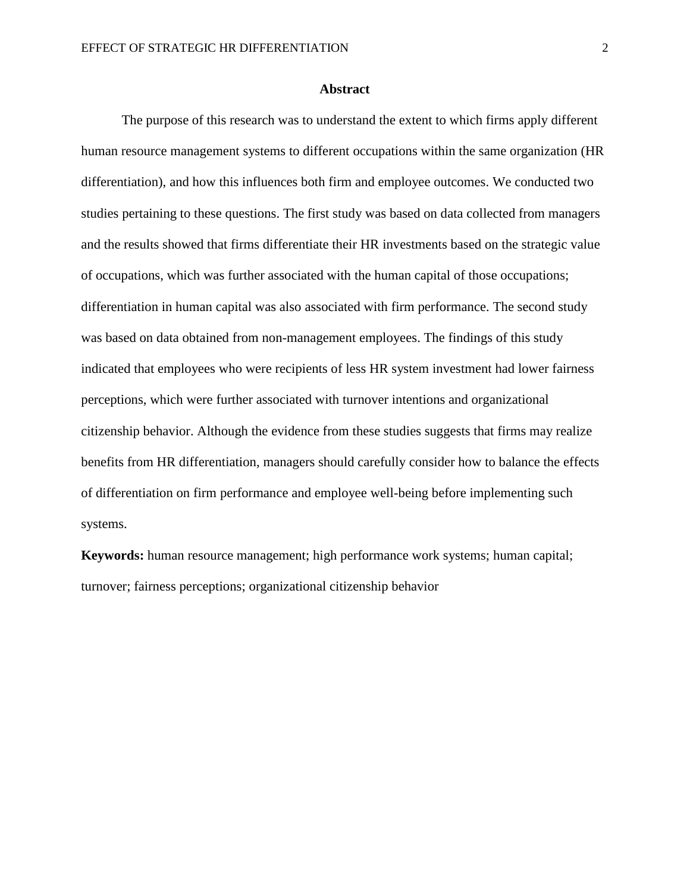## **Abstract**

The purpose of this research was to understand the extent to which firms apply different human resource management systems to different occupations within the same organization (HR differentiation), and how this influences both firm and employee outcomes. We conducted two studies pertaining to these questions. The first study was based on data collected from managers and the results showed that firms differentiate their HR investments based on the strategic value of occupations, which was further associated with the human capital of those occupations; differentiation in human capital was also associated with firm performance. The second study was based on data obtained from non-management employees. The findings of this study indicated that employees who were recipients of less HR system investment had lower fairness perceptions, which were further associated with turnover intentions and organizational citizenship behavior. Although the evidence from these studies suggests that firms may realize benefits from HR differentiation, managers should carefully consider how to balance the effects of differentiation on firm performance and employee well-being before implementing such systems.

**Keywords:** human resource management; high performance work systems; human capital; turnover; fairness perceptions; organizational citizenship behavior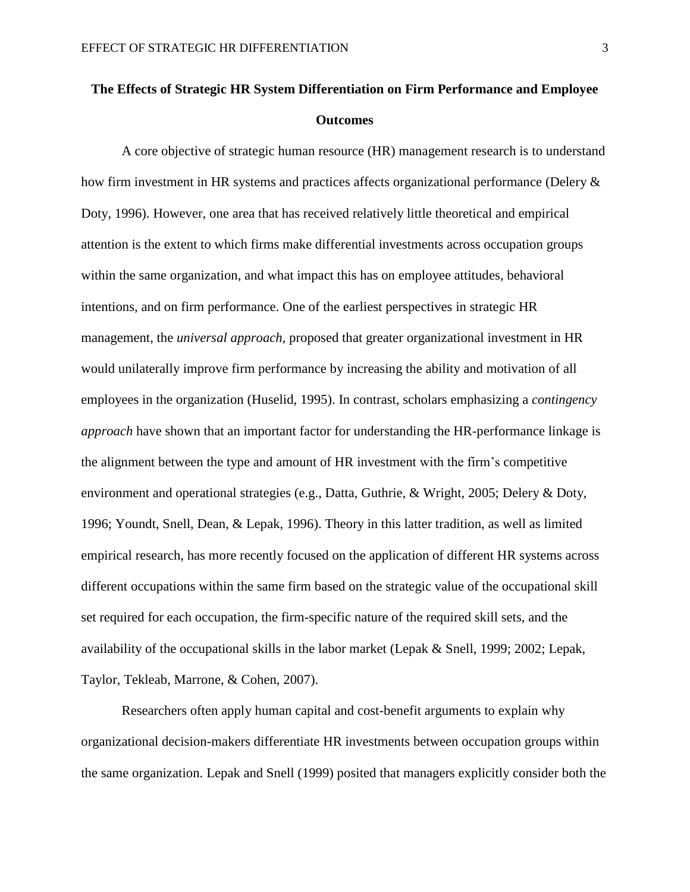# **The Effects of Strategic HR System Differentiation on Firm Performance and Employee Outcomes**

A core objective of strategic human resource (HR) management research is to understand how firm investment in HR systems and practices affects organizational performance (Delery & Doty, 1996). However, one area that has received relatively little theoretical and empirical attention is the extent to which firms make differential investments across occupation groups within the same organization, and what impact this has on employee attitudes, behavioral intentions, and on firm performance. One of the earliest perspectives in strategic HR management, the *universal approach,* proposed that greater organizational investment in HR would unilaterally improve firm performance by increasing the ability and motivation of all employees in the organization (Huselid, 1995). In contrast, scholars emphasizing a *contingency approach* have shown that an important factor for understanding the HR-performance linkage is the alignment between the type and amount of HR investment with the firm's competitive environment and operational strategies (e.g., Datta, Guthrie, & Wright, 2005; Delery & Doty, 1996; Youndt, Snell, Dean, & Lepak, 1996). Theory in this latter tradition, as well as limited empirical research, has more recently focused on the application of different HR systems across different occupations within the same firm based on the strategic value of the occupational skill set required for each occupation, the firm-specific nature of the required skill sets, and the availability of the occupational skills in the labor market (Lepak & Snell, 1999; 2002; Lepak, Taylor, Tekleab, Marrone, & Cohen, 2007).

Researchers often apply human capital and cost-benefit arguments to explain why organizational decision-makers differentiate HR investments between occupation groups within the same organization. Lepak and Snell (1999) posited that managers explicitly consider both the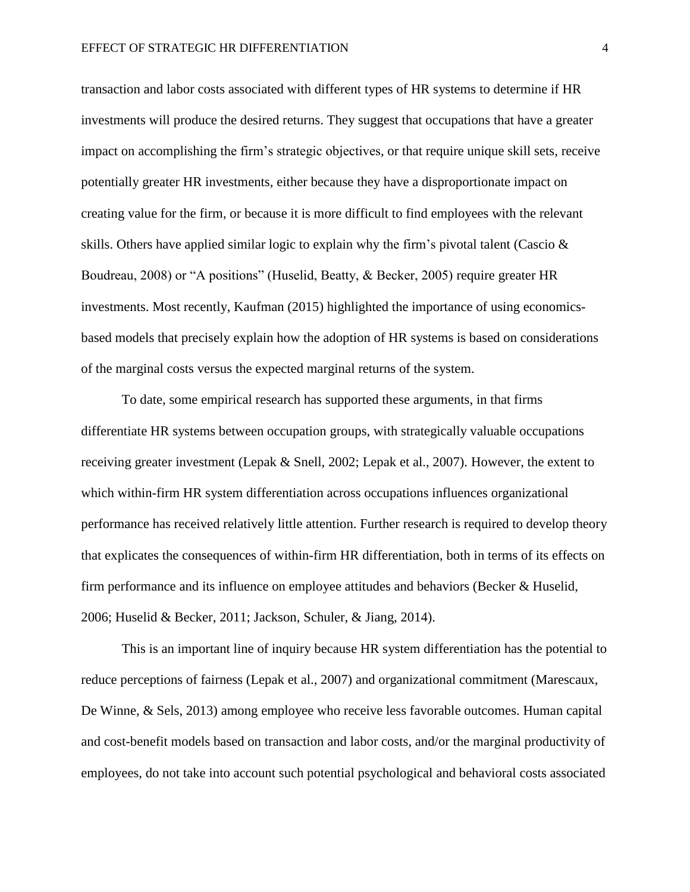transaction and labor costs associated with different types of HR systems to determine if HR investments will produce the desired returns. They suggest that occupations that have a greater impact on accomplishing the firm's strategic objectives, or that require unique skill sets, receive potentially greater HR investments, either because they have a disproportionate impact on creating value for the firm, or because it is more difficult to find employees with the relevant skills. Others have applied similar logic to explain why the firm's pivotal talent (Cascio & Boudreau, 2008) or "A positions" (Huselid, Beatty, & Becker, 2005) require greater HR investments. Most recently, Kaufman (2015) highlighted the importance of using economicsbased models that precisely explain how the adoption of HR systems is based on considerations of the marginal costs versus the expected marginal returns of the system.

To date, some empirical research has supported these arguments, in that firms differentiate HR systems between occupation groups, with strategically valuable occupations receiving greater investment (Lepak & Snell, 2002; Lepak et al., 2007). However, the extent to which within-firm HR system differentiation across occupations influences organizational performance has received relatively little attention. Further research is required to develop theory that explicates the consequences of within-firm HR differentiation, both in terms of its effects on firm performance and its influence on employee attitudes and behaviors (Becker & Huselid, 2006; Huselid & Becker, 2011; Jackson, Schuler, & Jiang, 2014).

This is an important line of inquiry because HR system differentiation has the potential to reduce perceptions of fairness (Lepak et al., 2007) and organizational commitment (Marescaux, De Winne, & Sels, 2013) among employee who receive less favorable outcomes. Human capital and cost-benefit models based on transaction and labor costs, and/or the marginal productivity of employees, do not take into account such potential psychological and behavioral costs associated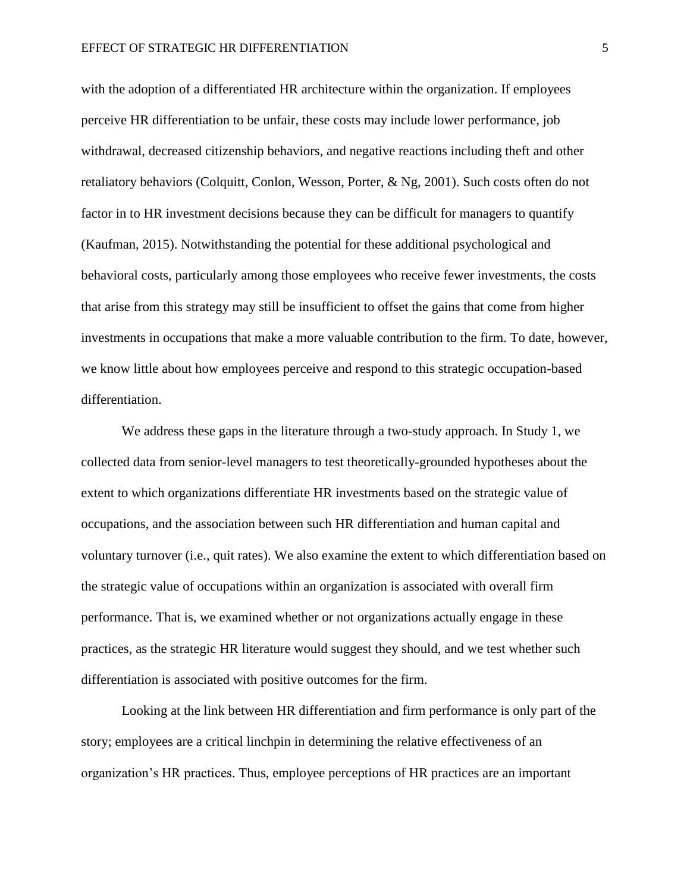with the adoption of a differentiated HR architecture within the organization. If employees perceive HR differentiation to be unfair, these costs may include lower performance, job withdrawal, decreased citizenship behaviors, and negative reactions including theft and other retaliatory behaviors (Colquitt, Conlon, Wesson, Porter, & Ng, 2001). Such costs often do not factor in to HR investment decisions because they can be difficult for managers to quantify (Kaufman, 2015). Notwithstanding the potential for these additional psychological and behavioral costs, particularly among those employees who receive fewer investments, the costs that arise from this strategy may still be insufficient to offset the gains that come from higher investments in occupations that make a more valuable contribution to the firm. To date, however, we know little about how employees perceive and respond to this strategic occupation-based differentiation.

We address these gaps in the literature through a two-study approach. In Study 1, we collected data from senior-level managers to test theoretically-grounded hypotheses about the extent to which organizations differentiate HR investments based on the strategic value of occupations, and the association between such HR differentiation and human capital and voluntary turnover (i.e., quit rates). We also examine the extent to which differentiation based on the strategic value of occupations within an organization is associated with overall firm performance. That is, we examined whether or not organizations actually engage in these practices, as the strategic HR literature would suggest they should, and we test whether such differentiation is associated with positive outcomes for the firm.

Looking at the link between HR differentiation and firm performance is only part of the story; employees are a critical linchpin in determining the relative effectiveness of an organization's HR practices. Thus, employee perceptions of HR practices are an important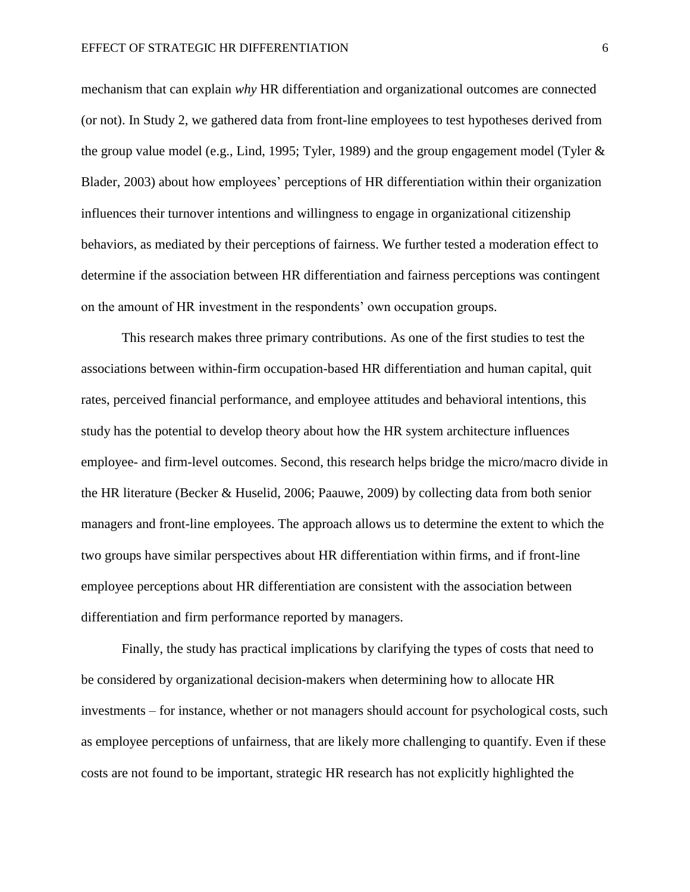mechanism that can explain *why* HR differentiation and organizational outcomes are connected (or not). In Study 2, we gathered data from front-line employees to test hypotheses derived from the group value model (e.g., Lind, 1995; Tyler, 1989) and the group engagement model (Tyler & Blader, 2003) about how employees' perceptions of HR differentiation within their organization influences their turnover intentions and willingness to engage in organizational citizenship behaviors, as mediated by their perceptions of fairness. We further tested a moderation effect to determine if the association between HR differentiation and fairness perceptions was contingent on the amount of HR investment in the respondents' own occupation groups.

This research makes three primary contributions. As one of the first studies to test the associations between within-firm occupation-based HR differentiation and human capital, quit rates, perceived financial performance, and employee attitudes and behavioral intentions, this study has the potential to develop theory about how the HR system architecture influences employee- and firm-level outcomes. Second, this research helps bridge the micro/macro divide in the HR literature (Becker & Huselid, 2006; Paauwe, 2009) by collecting data from both senior managers and front-line employees. The approach allows us to determine the extent to which the two groups have similar perspectives about HR differentiation within firms, and if front-line employee perceptions about HR differentiation are consistent with the association between differentiation and firm performance reported by managers.

Finally, the study has practical implications by clarifying the types of costs that need to be considered by organizational decision-makers when determining how to allocate HR investments – for instance, whether or not managers should account for psychological costs, such as employee perceptions of unfairness, that are likely more challenging to quantify. Even if these costs are not found to be important, strategic HR research has not explicitly highlighted the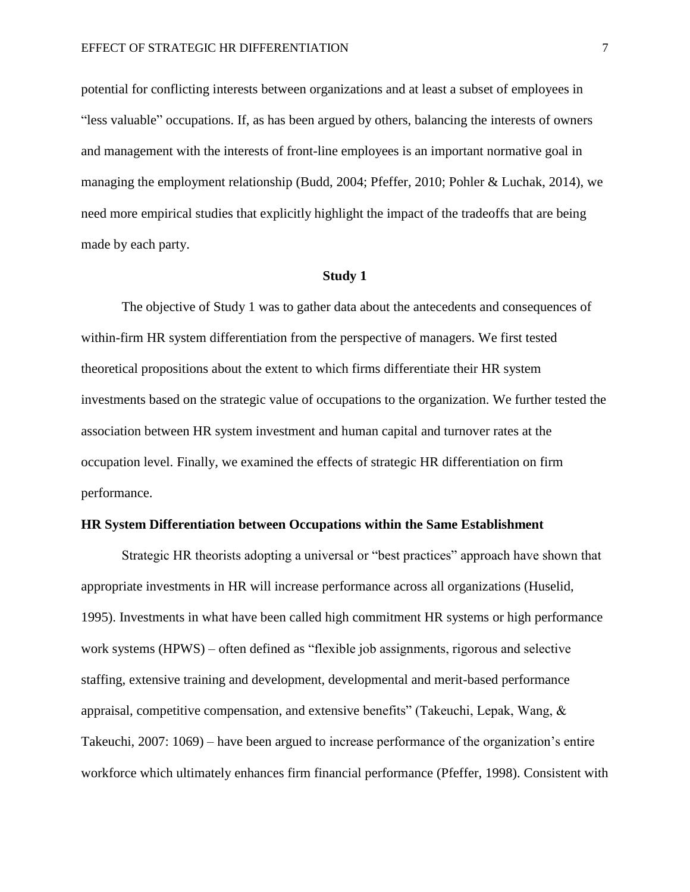potential for conflicting interests between organizations and at least a subset of employees in "less valuable" occupations. If, as has been argued by others, balancing the interests of owners and management with the interests of front-line employees is an important normative goal in managing the employment relationship (Budd, 2004; Pfeffer, 2010; Pohler & Luchak, 2014), we need more empirical studies that explicitly highlight the impact of the tradeoffs that are being made by each party.

## **Study 1**

The objective of Study 1 was to gather data about the antecedents and consequences of within-firm HR system differentiation from the perspective of managers. We first tested theoretical propositions about the extent to which firms differentiate their HR system investments based on the strategic value of occupations to the organization. We further tested the association between HR system investment and human capital and turnover rates at the occupation level. Finally, we examined the effects of strategic HR differentiation on firm performance.

## **HR System Differentiation between Occupations within the Same Establishment**

Strategic HR theorists adopting a universal or "best practices" approach have shown that appropriate investments in HR will increase performance across all organizations (Huselid, 1995). Investments in what have been called high commitment HR systems or high performance work systems (HPWS) – often defined as "flexible job assignments, rigorous and selective staffing, extensive training and development, developmental and merit-based performance appraisal, competitive compensation, and extensive benefits" (Takeuchi, Lepak, Wang,  $\&$ Takeuchi, 2007: 1069) – have been argued to increase performance of the organization's entire workforce which ultimately enhances firm financial performance (Pfeffer, 1998). Consistent with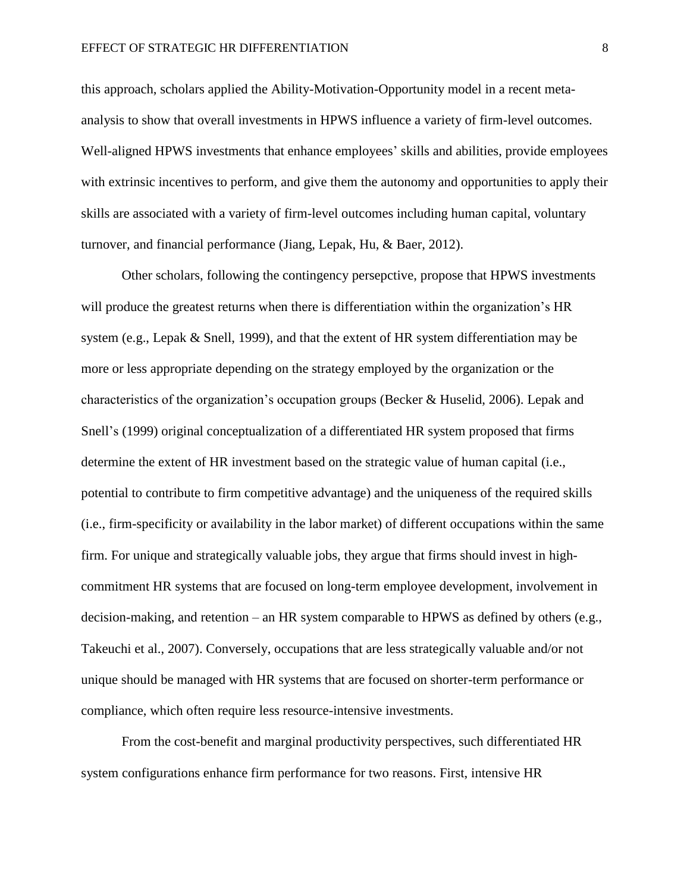this approach, scholars applied the Ability-Motivation-Opportunity model in a recent metaanalysis to show that overall investments in HPWS influence a variety of firm-level outcomes. Well-aligned HPWS investments that enhance employees' skills and abilities, provide employees with extrinsic incentives to perform, and give them the autonomy and opportunities to apply their skills are associated with a variety of firm-level outcomes including human capital, voluntary turnover, and financial performance (Jiang, Lepak, Hu, & Baer, 2012).

Other scholars, following the contingency persepctive, propose that HPWS investments will produce the greatest returns when there is differentiation within the organization's HR system (e.g., Lepak & Snell, 1999), and that the extent of HR system differentiation may be more or less appropriate depending on the strategy employed by the organization or the characteristics of the organization's occupation groups (Becker & Huselid, 2006). Lepak and Snell's (1999) original conceptualization of a differentiated HR system proposed that firms determine the extent of HR investment based on the strategic value of human capital (i.e., potential to contribute to firm competitive advantage) and the uniqueness of the required skills (i.e., firm-specificity or availability in the labor market) of different occupations within the same firm. For unique and strategically valuable jobs, they argue that firms should invest in highcommitment HR systems that are focused on long-term employee development, involvement in decision-making, and retention – an HR system comparable to HPWS as defined by others (e.g., Takeuchi et al., 2007). Conversely, occupations that are less strategically valuable and/or not unique should be managed with HR systems that are focused on shorter-term performance or compliance, which often require less resource-intensive investments.

From the cost-benefit and marginal productivity perspectives, such differentiated HR system configurations enhance firm performance for two reasons. First, intensive HR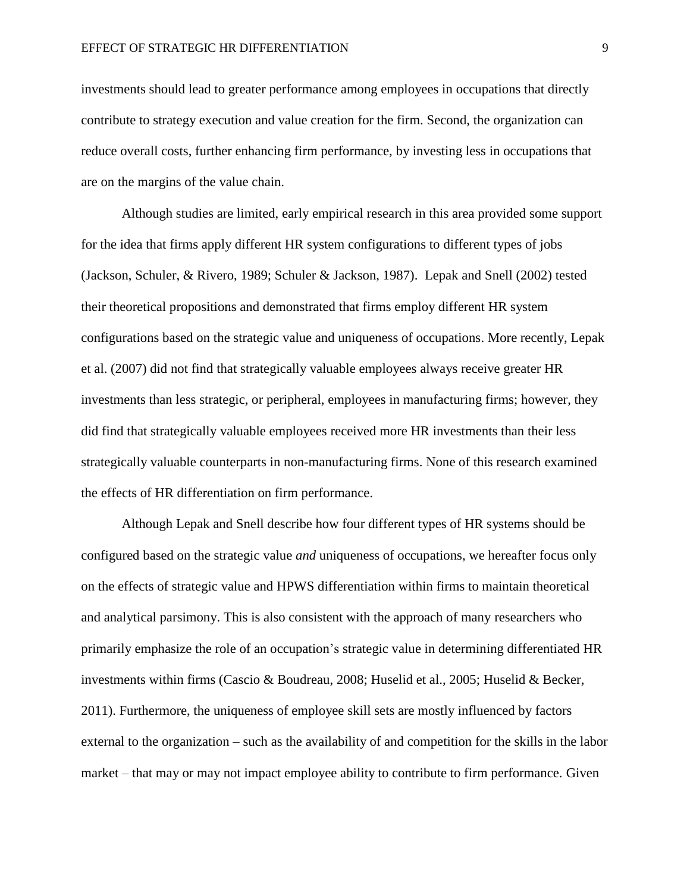investments should lead to greater performance among employees in occupations that directly contribute to strategy execution and value creation for the firm. Second, the organization can reduce overall costs, further enhancing firm performance, by investing less in occupations that are on the margins of the value chain.

Although studies are limited, early empirical research in this area provided some support for the idea that firms apply different HR system configurations to different types of jobs (Jackson, Schuler, & Rivero, 1989; Schuler & Jackson, 1987). Lepak and Snell (2002) tested their theoretical propositions and demonstrated that firms employ different HR system configurations based on the strategic value and uniqueness of occupations. More recently, Lepak et al. (2007) did not find that strategically valuable employees always receive greater HR investments than less strategic, or peripheral, employees in manufacturing firms; however, they did find that strategically valuable employees received more HR investments than their less strategically valuable counterparts in non-manufacturing firms. None of this research examined the effects of HR differentiation on firm performance.

Although Lepak and Snell describe how four different types of HR systems should be configured based on the strategic value *and* uniqueness of occupations, we hereafter focus only on the effects of strategic value and HPWS differentiation within firms to maintain theoretical and analytical parsimony. This is also consistent with the approach of many researchers who primarily emphasize the role of an occupation's strategic value in determining differentiated HR investments within firms (Cascio & Boudreau, 2008; Huselid et al., 2005; Huselid & Becker, 2011). Furthermore, the uniqueness of employee skill sets are mostly influenced by factors external to the organization – such as the availability of and competition for the skills in the labor market – that may or may not impact employee ability to contribute to firm performance. Given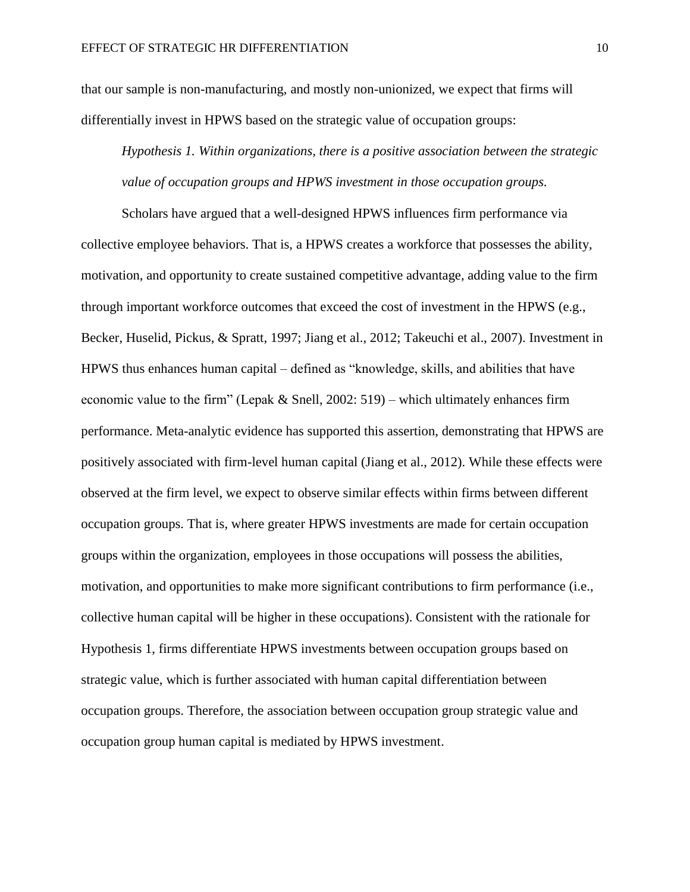that our sample is non-manufacturing, and mostly non-unionized, we expect that firms will differentially invest in HPWS based on the strategic value of occupation groups:

*Hypothesis 1. Within organizations, there is a positive association between the strategic value of occupation groups and HPWS investment in those occupation groups.*

Scholars have argued that a well-designed HPWS influences firm performance via collective employee behaviors. That is, a HPWS creates a workforce that possesses the ability, motivation, and opportunity to create sustained competitive advantage, adding value to the firm through important workforce outcomes that exceed the cost of investment in the HPWS (e.g., Becker, Huselid, Pickus, & Spratt, 1997; Jiang et al., 2012; Takeuchi et al., 2007). Investment in HPWS thus enhances human capital – defined as "knowledge, skills, and abilities that have economic value to the firm" (Lepak & Snell, 2002: 519) – which ultimately enhances firm performance. Meta-analytic evidence has supported this assertion, demonstrating that HPWS are positively associated with firm-level human capital (Jiang et al., 2012). While these effects were observed at the firm level, we expect to observe similar effects within firms between different occupation groups. That is, where greater HPWS investments are made for certain occupation groups within the organization, employees in those occupations will possess the abilities, motivation, and opportunities to make more significant contributions to firm performance (i.e., collective human capital will be higher in these occupations). Consistent with the rationale for Hypothesis 1, firms differentiate HPWS investments between occupation groups based on strategic value, which is further associated with human capital differentiation between occupation groups. Therefore, the association between occupation group strategic value and occupation group human capital is mediated by HPWS investment.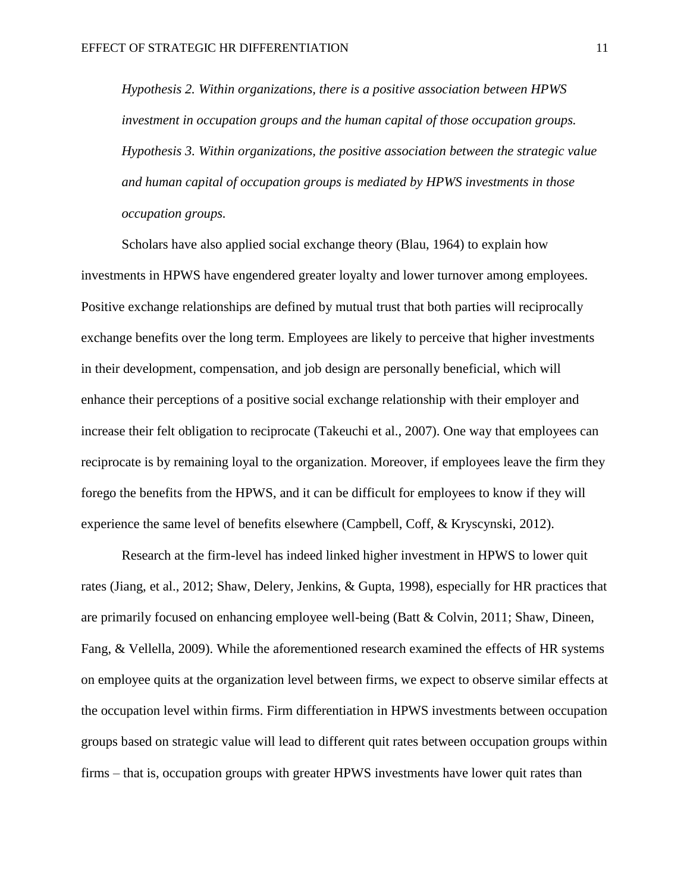*Hypothesis 2. Within organizations, there is a positive association between HPWS investment in occupation groups and the human capital of those occupation groups. Hypothesis 3. Within organizations, the positive association between the strategic value and human capital of occupation groups is mediated by HPWS investments in those occupation groups.* 

Scholars have also applied social exchange theory (Blau, 1964) to explain how investments in HPWS have engendered greater loyalty and lower turnover among employees. Positive exchange relationships are defined by mutual trust that both parties will reciprocally exchange benefits over the long term. Employees are likely to perceive that higher investments in their development, compensation, and job design are personally beneficial, which will enhance their perceptions of a positive social exchange relationship with their employer and increase their felt obligation to reciprocate (Takeuchi et al., 2007). One way that employees can reciprocate is by remaining loyal to the organization. Moreover, if employees leave the firm they forego the benefits from the HPWS, and it can be difficult for employees to know if they will experience the same level of benefits elsewhere (Campbell, Coff, & Kryscynski, 2012).

Research at the firm-level has indeed linked higher investment in HPWS to lower quit rates (Jiang, et al., 2012; Shaw, Delery, Jenkins, & Gupta, 1998), especially for HR practices that are primarily focused on enhancing employee well-being (Batt & Colvin, 2011; Shaw, Dineen, Fang, & Vellella, 2009). While the aforementioned research examined the effects of HR systems on employee quits at the organization level between firms, we expect to observe similar effects at the occupation level within firms. Firm differentiation in HPWS investments between occupation groups based on strategic value will lead to different quit rates between occupation groups within firms – that is, occupation groups with greater HPWS investments have lower quit rates than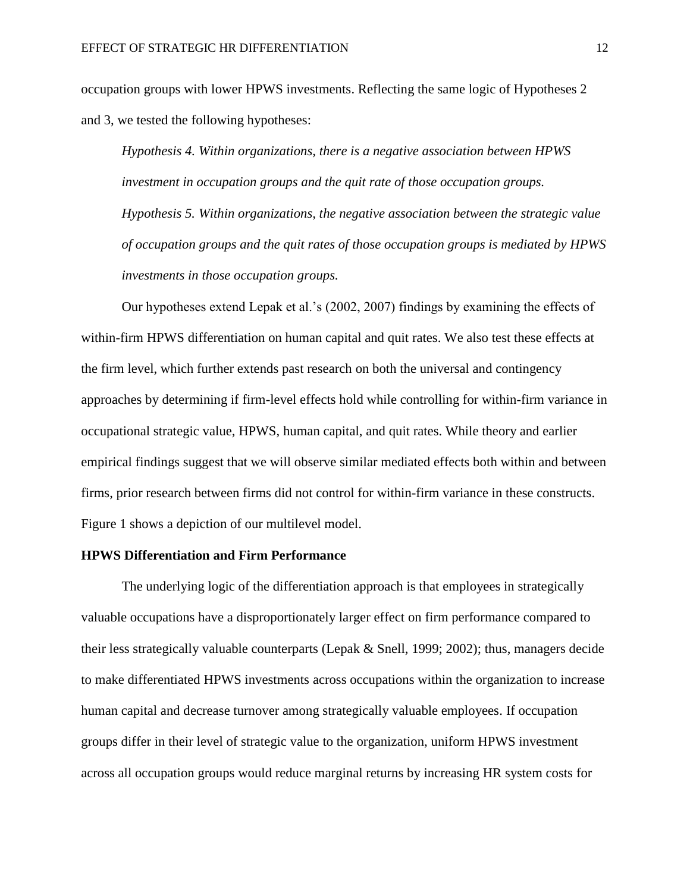occupation groups with lower HPWS investments. Reflecting the same logic of Hypotheses 2 and 3, we tested the following hypotheses:

*Hypothesis 4. Within organizations, there is a negative association between HPWS investment in occupation groups and the quit rate of those occupation groups. Hypothesis 5. Within organizations, the negative association between the strategic value of occupation groups and the quit rates of those occupation groups is mediated by HPWS investments in those occupation groups.*

Our hypotheses extend Lepak et al.'s (2002, 2007) findings by examining the effects of within-firm HPWS differentiation on human capital and quit rates. We also test these effects at the firm level, which further extends past research on both the universal and contingency approaches by determining if firm-level effects hold while controlling for within-firm variance in occupational strategic value, HPWS, human capital, and quit rates. While theory and earlier empirical findings suggest that we will observe similar mediated effects both within and between firms, prior research between firms did not control for within-firm variance in these constructs. Figure 1 shows a depiction of our multilevel model.

# **HPWS Differentiation and Firm Performance**

The underlying logic of the differentiation approach is that employees in strategically valuable occupations have a disproportionately larger effect on firm performance compared to their less strategically valuable counterparts (Lepak & Snell, 1999; 2002); thus, managers decide to make differentiated HPWS investments across occupations within the organization to increase human capital and decrease turnover among strategically valuable employees. If occupation groups differ in their level of strategic value to the organization, uniform HPWS investment across all occupation groups would reduce marginal returns by increasing HR system costs for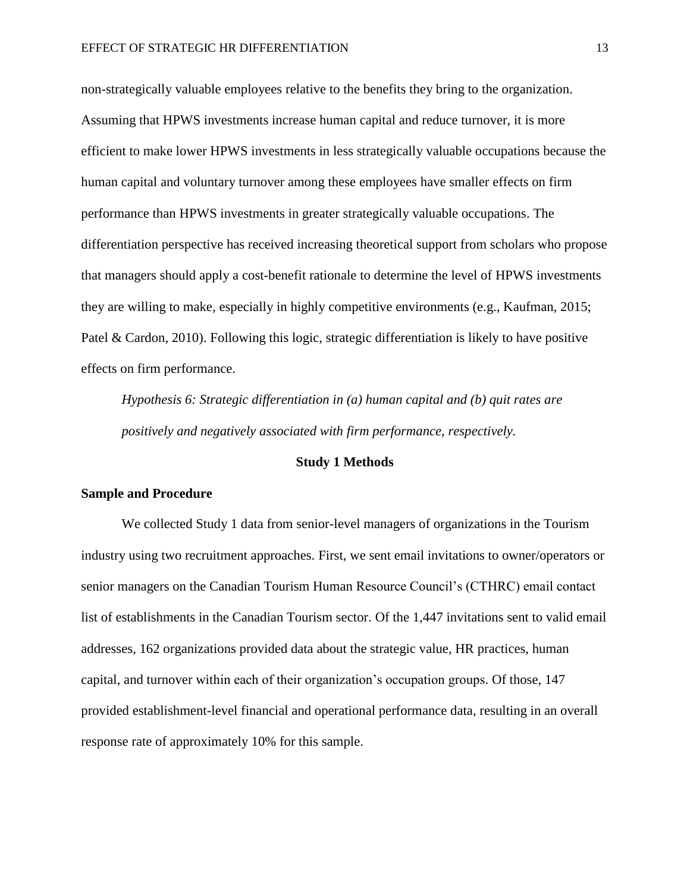non-strategically valuable employees relative to the benefits they bring to the organization. Assuming that HPWS investments increase human capital and reduce turnover, it is more efficient to make lower HPWS investments in less strategically valuable occupations because the human capital and voluntary turnover among these employees have smaller effects on firm performance than HPWS investments in greater strategically valuable occupations. The differentiation perspective has received increasing theoretical support from scholars who propose that managers should apply a cost-benefit rationale to determine the level of HPWS investments they are willing to make, especially in highly competitive environments (e.g., Kaufman, 2015; Patel & Cardon, 2010). Following this logic, strategic differentiation is likely to have positive effects on firm performance.

*Hypothesis 6: Strategic differentiation in (a) human capital and (b) quit rates are positively and negatively associated with firm performance, respectively.* 

# **Study 1 Methods**

#### **Sample and Procedure**

We collected Study 1 data from senior-level managers of organizations in the Tourism industry using two recruitment approaches. First, we sent email invitations to owner/operators or senior managers on the Canadian Tourism Human Resource Council's (CTHRC) email contact list of establishments in the Canadian Tourism sector. Of the 1,447 invitations sent to valid email addresses, 162 organizations provided data about the strategic value, HR practices, human capital, and turnover within each of their organization's occupation groups. Of those, 147 provided establishment-level financial and operational performance data, resulting in an overall response rate of approximately 10% for this sample.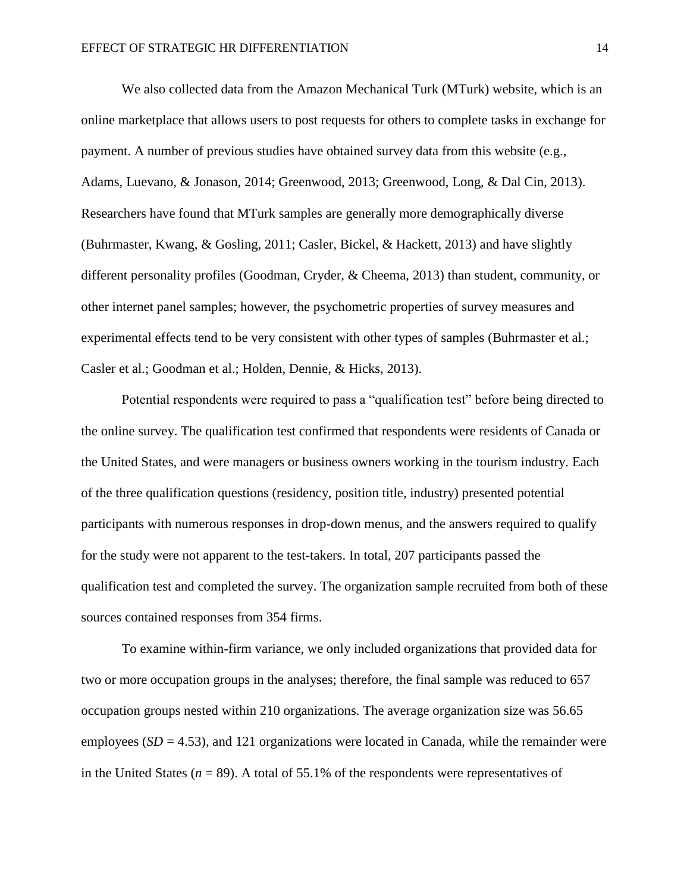We also collected data from the Amazon Mechanical Turk (MTurk) website, which is an online marketplace that allows users to post requests for others to complete tasks in exchange for payment. A number of previous studies have obtained survey data from this website (e.g., Adams, Luevano, & Jonason, 2014; Greenwood, 2013; Greenwood, Long, & Dal Cin, 2013). Researchers have found that MTurk samples are generally more demographically diverse (Buhrmaster, Kwang, & Gosling, 2011; Casler, Bickel, & Hackett, 2013) and have slightly different personality profiles (Goodman, Cryder, & Cheema, 2013) than student, community, or other internet panel samples; however, the psychometric properties of survey measures and experimental effects tend to be very consistent with other types of samples (Buhrmaster et al.; Casler et al.; Goodman et al.; Holden, Dennie, & Hicks, 2013).

Potential respondents were required to pass a "qualification test" before being directed to the online survey. The qualification test confirmed that respondents were residents of Canada or the United States, and were managers or business owners working in the tourism industry. Each of the three qualification questions (residency, position title, industry) presented potential participants with numerous responses in drop-down menus, and the answers required to qualify for the study were not apparent to the test-takers. In total, 207 participants passed the qualification test and completed the survey. The organization sample recruited from both of these sources contained responses from 354 firms.

To examine within-firm variance, we only included organizations that provided data for two or more occupation groups in the analyses; therefore, the final sample was reduced to 657 occupation groups nested within 210 organizations. The average organization size was 56.65 employees  $(SD = 4.53)$ , and 121 organizations were located in Canada, while the remainder were in the United States ( $n = 89$ ). A total of 55.1% of the respondents were representatives of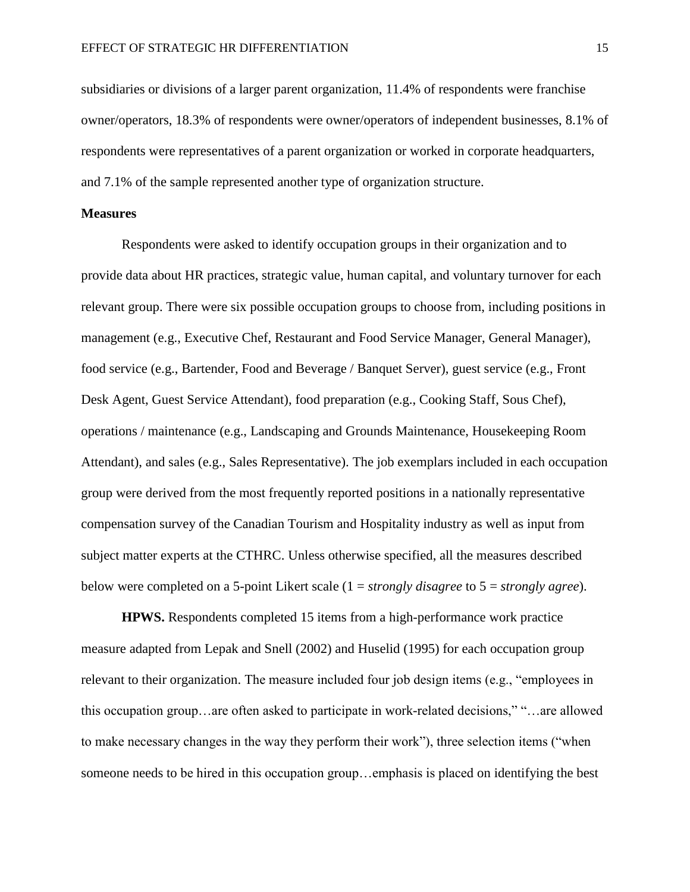subsidiaries or divisions of a larger parent organization, 11.4% of respondents were franchise owner/operators, 18.3% of respondents were owner/operators of independent businesses, 8.1% of respondents were representatives of a parent organization or worked in corporate headquarters, and 7.1% of the sample represented another type of organization structure.

## **Measures**

Respondents were asked to identify occupation groups in their organization and to provide data about HR practices, strategic value, human capital, and voluntary turnover for each relevant group. There were six possible occupation groups to choose from, including positions in management (e.g., Executive Chef, Restaurant and Food Service Manager, General Manager), food service (e.g., Bartender, Food and Beverage / Banquet Server), guest service (e.g., Front Desk Agent, Guest Service Attendant), food preparation (e.g., Cooking Staff, Sous Chef), operations / maintenance (e.g., Landscaping and Grounds Maintenance, Housekeeping Room Attendant), and sales (e.g., Sales Representative). The job exemplars included in each occupation group were derived from the most frequently reported positions in a nationally representative compensation survey of the Canadian Tourism and Hospitality industry as well as input from subject matter experts at the CTHRC. Unless otherwise specified, all the measures described below were completed on a 5-point Likert scale (1 = *strongly disagree* to 5 = *strongly agree*).

**HPWS.** Respondents completed 15 items from a high-performance work practice measure adapted from Lepak and Snell (2002) and Huselid (1995) for each occupation group relevant to their organization. The measure included four job design items (e.g., "employees in this occupation group…are often asked to participate in work-related decisions," "…are allowed to make necessary changes in the way they perform their work"), three selection items ("when someone needs to be hired in this occupation group…emphasis is placed on identifying the best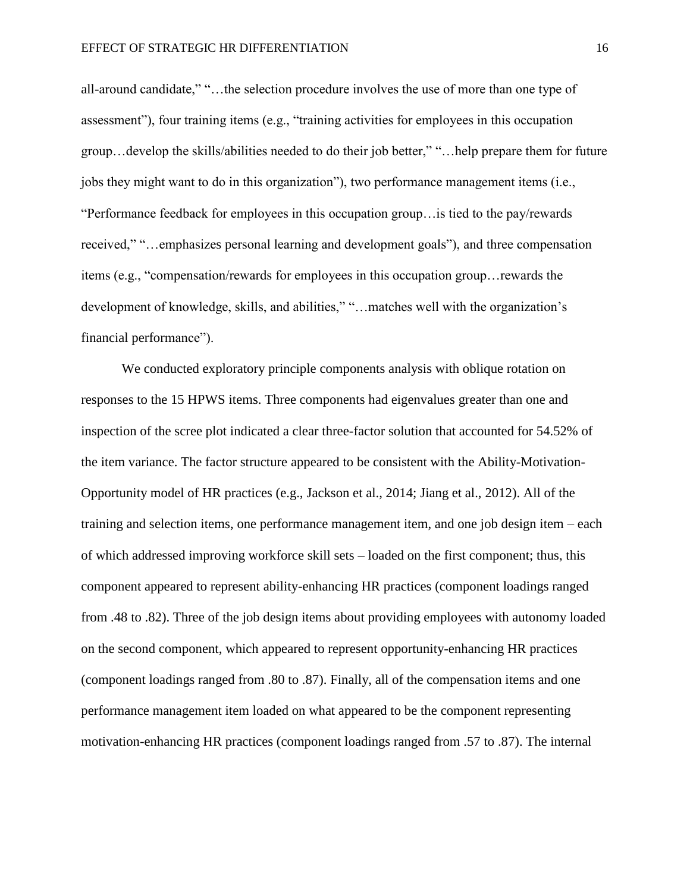all-around candidate," "…the selection procedure involves the use of more than one type of assessment"), four training items (e.g., "training activities for employees in this occupation group…develop the skills/abilities needed to do their job better," "…help prepare them for future jobs they might want to do in this organization"), two performance management items (i.e., "Performance feedback for employees in this occupation group…is tied to the pay/rewards received," "…emphasizes personal learning and development goals"), and three compensation items (e.g., "compensation/rewards for employees in this occupation group…rewards the development of knowledge, skills, and abilities," "…matches well with the organization's financial performance").

We conducted exploratory principle components analysis with oblique rotation on responses to the 15 HPWS items. Three components had eigenvalues greater than one and inspection of the scree plot indicated a clear three-factor solution that accounted for 54.52% of the item variance. The factor structure appeared to be consistent with the Ability-Motivation-Opportunity model of HR practices (e.g., Jackson et al., 2014; Jiang et al., 2012). All of the training and selection items, one performance management item, and one job design item – each of which addressed improving workforce skill sets – loaded on the first component; thus, this component appeared to represent ability-enhancing HR practices (component loadings ranged from .48 to .82). Three of the job design items about providing employees with autonomy loaded on the second component, which appeared to represent opportunity-enhancing HR practices (component loadings ranged from .80 to .87). Finally, all of the compensation items and one performance management item loaded on what appeared to be the component representing motivation-enhancing HR practices (component loadings ranged from .57 to .87). The internal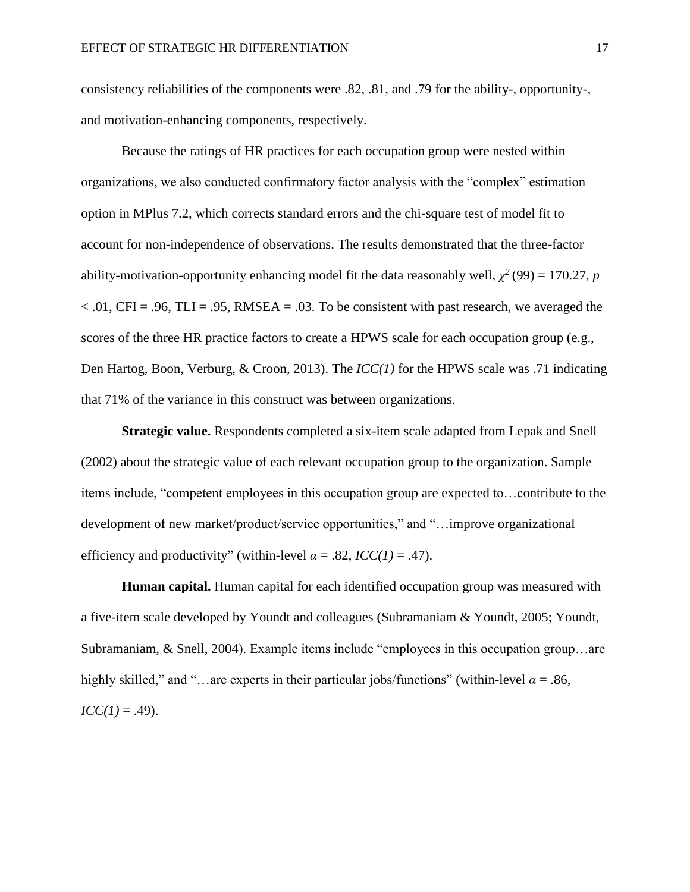consistency reliabilities of the components were .82, .81, and .79 for the ability-, opportunity-, and motivation-enhancing components, respectively.

Because the ratings of HR practices for each occupation group were nested within organizations, we also conducted confirmatory factor analysis with the "complex" estimation option in MPlus 7.2, which corrects standard errors and the chi-square test of model fit to account for non-independence of observations. The results demonstrated that the three-factor ability-motivation-opportunity enhancing model fit the data reasonably well,  $\chi^2(99) = 170.27$ , *p*  $< .01$ , CFI = .96, TLI = .95, RMSEA = .03. To be consistent with past research, we averaged the scores of the three HR practice factors to create a HPWS scale for each occupation group (e.g., Den Hartog, Boon, Verburg, & Croon, 2013). The *ICC(1)* for the HPWS scale was .71 indicating that 71% of the variance in this construct was between organizations.

**Strategic value.** Respondents completed a six-item scale adapted from Lepak and Snell (2002) about the strategic value of each relevant occupation group to the organization. Sample items include, "competent employees in this occupation group are expected to…contribute to the development of new market/product/service opportunities," and "…improve organizational efficiency and productivity" (within-level  $\alpha = .82$ ,  $\text{ICC}(1) = .47$ ).

**Human capital.** Human capital for each identified occupation group was measured with a five-item scale developed by Youndt and colleagues (Subramaniam & Youndt, 2005; Youndt, Subramaniam, & Snell, 2004). Example items include "employees in this occupation group…are highly skilled," and "…are experts in their particular jobs/functions" (within-level  $\alpha = .86$ ,  $ICC(1) = .49$ ).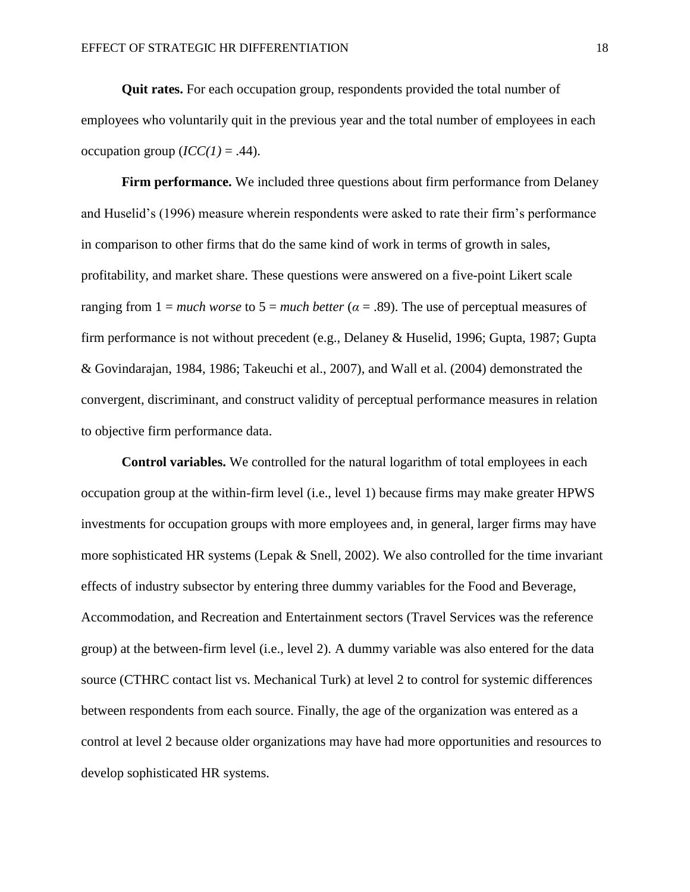**Quit rates.** For each occupation group, respondents provided the total number of employees who voluntarily quit in the previous year and the total number of employees in each occupation group  $(ICC(1) = .44)$ .

**Firm performance.** We included three questions about firm performance from Delaney and Huselid's (1996) measure wherein respondents were asked to rate their firm's performance in comparison to other firms that do the same kind of work in terms of growth in sales, profitability, and market share. These questions were answered on a five-point Likert scale ranging from  $1 =$  *much worse* to  $5 =$  *much better* ( $\alpha = .89$ ). The use of perceptual measures of firm performance is not without precedent (e.g., Delaney & Huselid, 1996; Gupta, 1987; Gupta & Govindarajan, 1984, 1986; Takeuchi et al., 2007), and Wall et al. (2004) demonstrated the convergent, discriminant, and construct validity of perceptual performance measures in relation to objective firm performance data.

**Control variables.** We controlled for the natural logarithm of total employees in each occupation group at the within-firm level (i.e., level 1) because firms may make greater HPWS investments for occupation groups with more employees and, in general, larger firms may have more sophisticated HR systems (Lepak & Snell, 2002). We also controlled for the time invariant effects of industry subsector by entering three dummy variables for the Food and Beverage, Accommodation, and Recreation and Entertainment sectors (Travel Services was the reference group) at the between-firm level (i.e., level 2). A dummy variable was also entered for the data source (CTHRC contact list vs. Mechanical Turk) at level 2 to control for systemic differences between respondents from each source. Finally, the age of the organization was entered as a control at level 2 because older organizations may have had more opportunities and resources to develop sophisticated HR systems.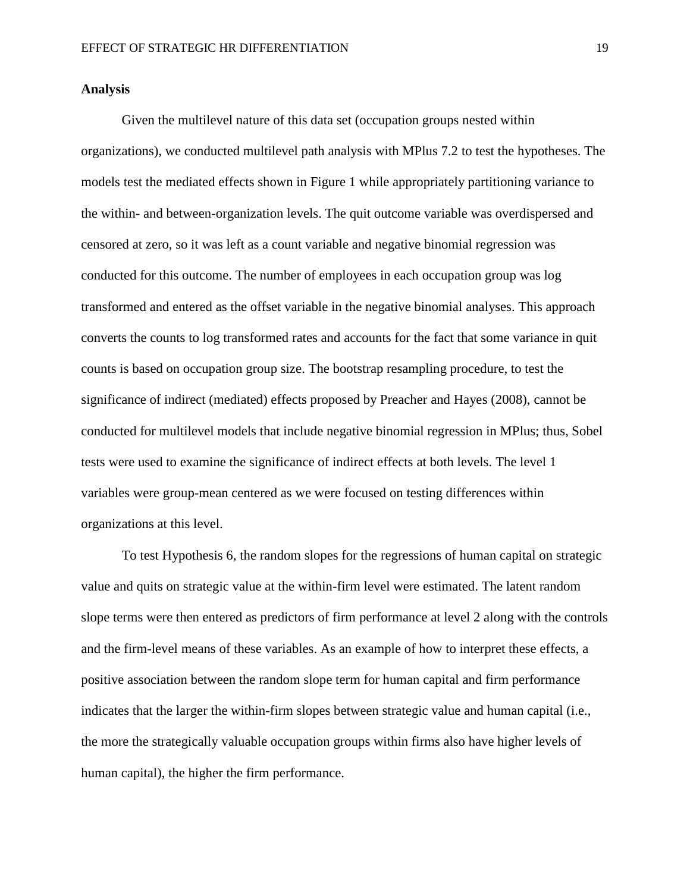# **Analysis**

Given the multilevel nature of this data set (occupation groups nested within organizations), we conducted multilevel path analysis with MPlus 7.2 to test the hypotheses. The models test the mediated effects shown in Figure 1 while appropriately partitioning variance to the within- and between-organization levels. The quit outcome variable was overdispersed and censored at zero, so it was left as a count variable and negative binomial regression was conducted for this outcome. The number of employees in each occupation group was log transformed and entered as the offset variable in the negative binomial analyses. This approach converts the counts to log transformed rates and accounts for the fact that some variance in quit counts is based on occupation group size. The bootstrap resampling procedure, to test the significance of indirect (mediated) effects proposed by Preacher and Hayes (2008), cannot be conducted for multilevel models that include negative binomial regression in MPlus; thus, Sobel tests were used to examine the significance of indirect effects at both levels. The level 1 variables were group-mean centered as we were focused on testing differences within organizations at this level.

To test Hypothesis 6, the random slopes for the regressions of human capital on strategic value and quits on strategic value at the within-firm level were estimated. The latent random slope terms were then entered as predictors of firm performance at level 2 along with the controls and the firm-level means of these variables. As an example of how to interpret these effects, a positive association between the random slope term for human capital and firm performance indicates that the larger the within-firm slopes between strategic value and human capital (i.e., the more the strategically valuable occupation groups within firms also have higher levels of human capital), the higher the firm performance.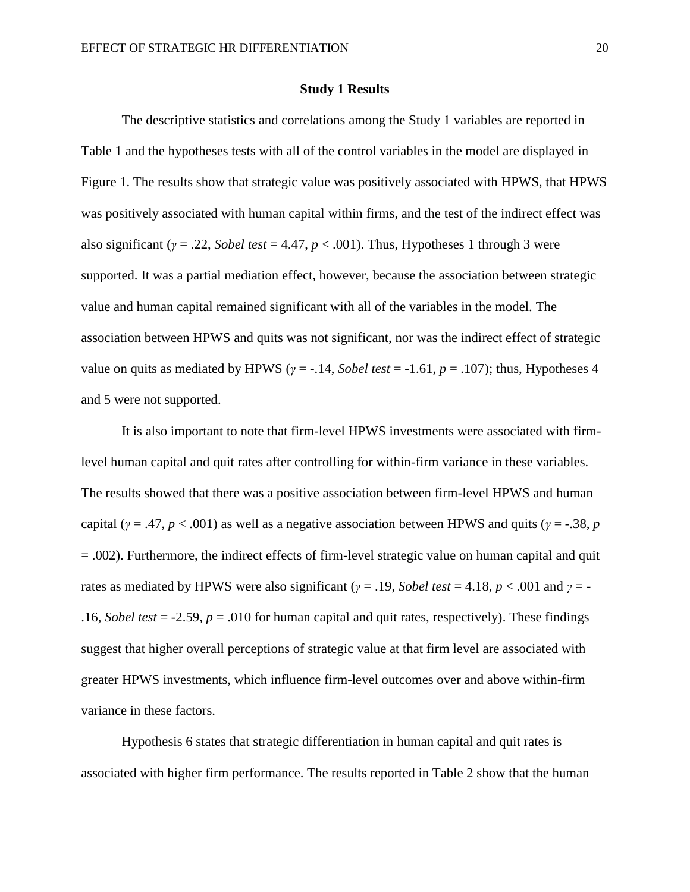## **Study 1 Results**

The descriptive statistics and correlations among the Study 1 variables are reported in Table 1 and the hypotheses tests with all of the control variables in the model are displayed in Figure 1. The results show that strategic value was positively associated with HPWS, that HPWS was positively associated with human capital within firms, and the test of the indirect effect was also significant ( $\gamma$  = .22, *Sobel test* = 4.47,  $p < .001$ ). Thus, Hypotheses 1 through 3 were supported. It was a partial mediation effect, however, because the association between strategic value and human capital remained significant with all of the variables in the model. The association between HPWS and quits was not significant, nor was the indirect effect of strategic value on quits as mediated by HPWS ( $\gamma = -14$ , *Sobel test* = -1.61,  $p = 0.107$ ); thus, Hypotheses 4 and 5 were not supported.

It is also important to note that firm-level HPWS investments were associated with firmlevel human capital and quit rates after controlling for within-firm variance in these variables. The results showed that there was a positive association between firm-level HPWS and human capital ( $\gamma = .47$ ,  $p < .001$ ) as well as a negative association between HPWS and quits ( $\gamma = .38$ , *p* = .002). Furthermore, the indirect effects of firm-level strategic value on human capital and quit rates as mediated by HPWS were also significant ( $\gamma = .19$ , *Sobel test* = 4.18,  $p < .001$  and  $\gamma = -$ .16, *Sobel test* = -2.59,  $p = .010$  for human capital and quit rates, respectively). These findings suggest that higher overall perceptions of strategic value at that firm level are associated with greater HPWS investments, which influence firm-level outcomes over and above within-firm variance in these factors.

Hypothesis 6 states that strategic differentiation in human capital and quit rates is associated with higher firm performance. The results reported in Table 2 show that the human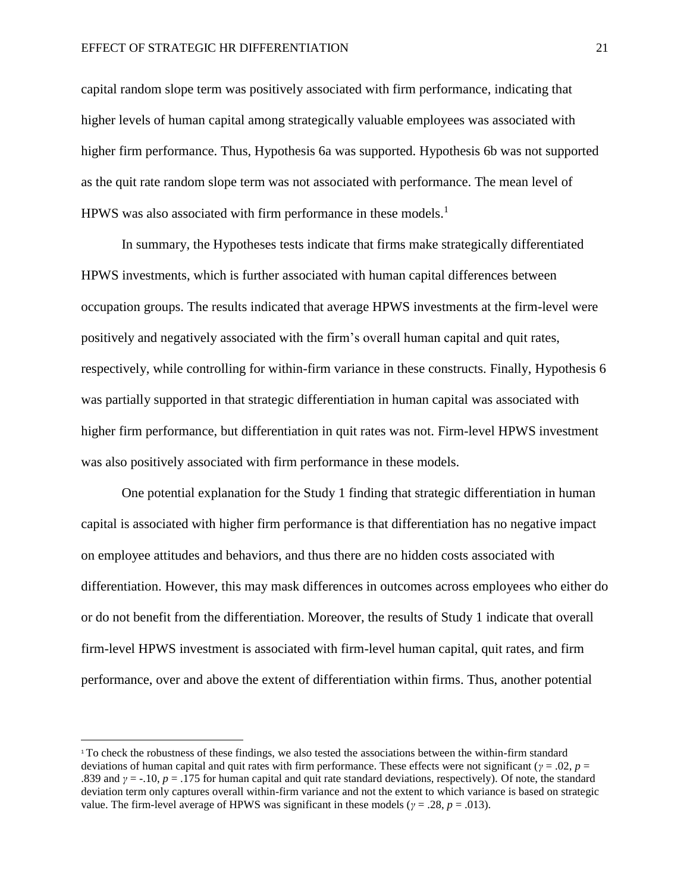capital random slope term was positively associated with firm performance, indicating that higher levels of human capital among strategically valuable employees was associated with higher firm performance. Thus, Hypothesis 6a was supported. Hypothesis 6b was not supported as the quit rate random slope term was not associated with performance. The mean level of HPWS was also associated with firm performance in these models.<sup>1</sup>

In summary, the Hypotheses tests indicate that firms make strategically differentiated HPWS investments, which is further associated with human capital differences between occupation groups. The results indicated that average HPWS investments at the firm-level were positively and negatively associated with the firm's overall human capital and quit rates, respectively, while controlling for within-firm variance in these constructs. Finally, Hypothesis 6 was partially supported in that strategic differentiation in human capital was associated with higher firm performance, but differentiation in quit rates was not. Firm-level HPWS investment was also positively associated with firm performance in these models.

One potential explanation for the Study 1 finding that strategic differentiation in human capital is associated with higher firm performance is that differentiation has no negative impact on employee attitudes and behaviors, and thus there are no hidden costs associated with differentiation. However, this may mask differences in outcomes across employees who either do or do not benefit from the differentiation. Moreover, the results of Study 1 indicate that overall firm-level HPWS investment is associated with firm-level human capital, quit rates, and firm performance, over and above the extent of differentiation within firms. Thus, another potential

l

<sup>1</sup> To check the robustness of these findings, we also tested the associations between the within-firm standard deviations of human capital and quit rates with firm performance. These effects were not significant (*γ* = .02, *p* = .839 and *γ* = -.10, *p* = .175 for human capital and quit rate standard deviations, respectively). Of note, the standard deviation term only captures overall within-firm variance and not the extent to which variance is based on strategic value. The firm-level average of HPWS was significant in these models ( $\gamma = .28$ ,  $p = .013$ ).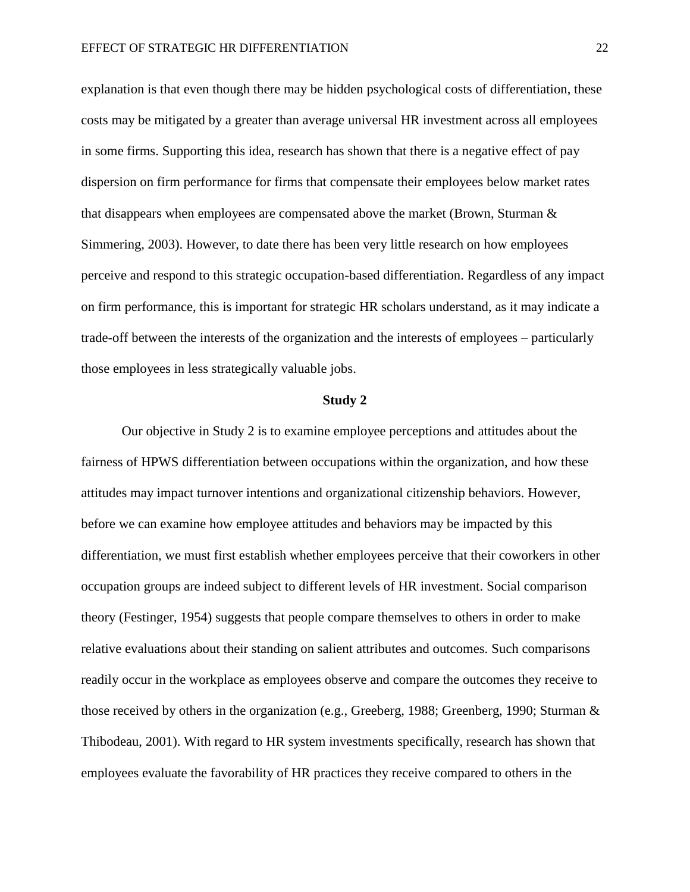explanation is that even though there may be hidden psychological costs of differentiation, these costs may be mitigated by a greater than average universal HR investment across all employees in some firms. Supporting this idea, research has shown that there is a negative effect of pay dispersion on firm performance for firms that compensate their employees below market rates that disappears when employees are compensated above the market (Brown, Sturman  $\&$ Simmering, 2003). However, to date there has been very little research on how employees perceive and respond to this strategic occupation-based differentiation. Regardless of any impact on firm performance, this is important for strategic HR scholars understand, as it may indicate a trade-off between the interests of the organization and the interests of employees – particularly those employees in less strategically valuable jobs.

#### **Study 2**

Our objective in Study 2 is to examine employee perceptions and attitudes about the fairness of HPWS differentiation between occupations within the organization, and how these attitudes may impact turnover intentions and organizational citizenship behaviors. However, before we can examine how employee attitudes and behaviors may be impacted by this differentiation, we must first establish whether employees perceive that their coworkers in other occupation groups are indeed subject to different levels of HR investment. Social comparison theory (Festinger, 1954) suggests that people compare themselves to others in order to make relative evaluations about their standing on salient attributes and outcomes. Such comparisons readily occur in the workplace as employees observe and compare the outcomes they receive to those received by others in the organization (e.g., Greeberg, 1988; Greenberg, 1990; Sturman & Thibodeau, 2001). With regard to HR system investments specifically, research has shown that employees evaluate the favorability of HR practices they receive compared to others in the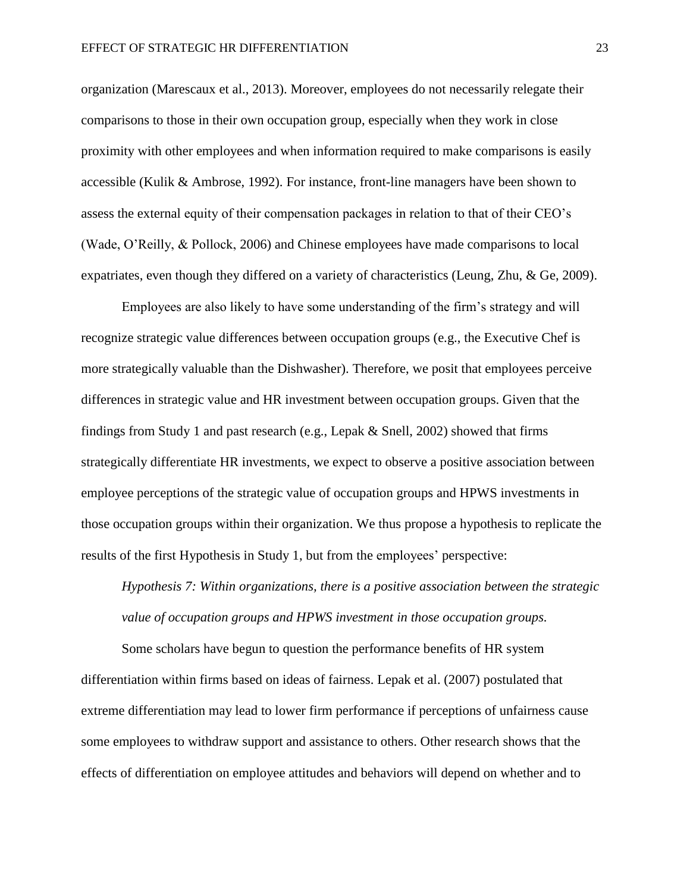organization (Marescaux et al., 2013). Moreover, employees do not necessarily relegate their comparisons to those in their own occupation group, especially when they work in close proximity with other employees and when information required to make comparisons is easily accessible (Kulik & Ambrose, 1992). For instance, front-line managers have been shown to assess the external equity of their compensation packages in relation to that of their CEO's (Wade, O'Reilly, & Pollock, 2006) and Chinese employees have made comparisons to local expatriates, even though they differed on a variety of characteristics (Leung, Zhu, & Ge, 2009).

Employees are also likely to have some understanding of the firm's strategy and will recognize strategic value differences between occupation groups (e.g., the Executive Chef is more strategically valuable than the Dishwasher). Therefore, we posit that employees perceive differences in strategic value and HR investment between occupation groups. Given that the findings from Study 1 and past research (e.g., Lepak & Snell, 2002) showed that firms strategically differentiate HR investments, we expect to observe a positive association between employee perceptions of the strategic value of occupation groups and HPWS investments in those occupation groups within their organization. We thus propose a hypothesis to replicate the results of the first Hypothesis in Study 1, but from the employees' perspective:

*Hypothesis 7: Within organizations, there is a positive association between the strategic value of occupation groups and HPWS investment in those occupation groups.*

Some scholars have begun to question the performance benefits of HR system differentiation within firms based on ideas of fairness. Lepak et al. (2007) postulated that extreme differentiation may lead to lower firm performance if perceptions of unfairness cause some employees to withdraw support and assistance to others. Other research shows that the effects of differentiation on employee attitudes and behaviors will depend on whether and to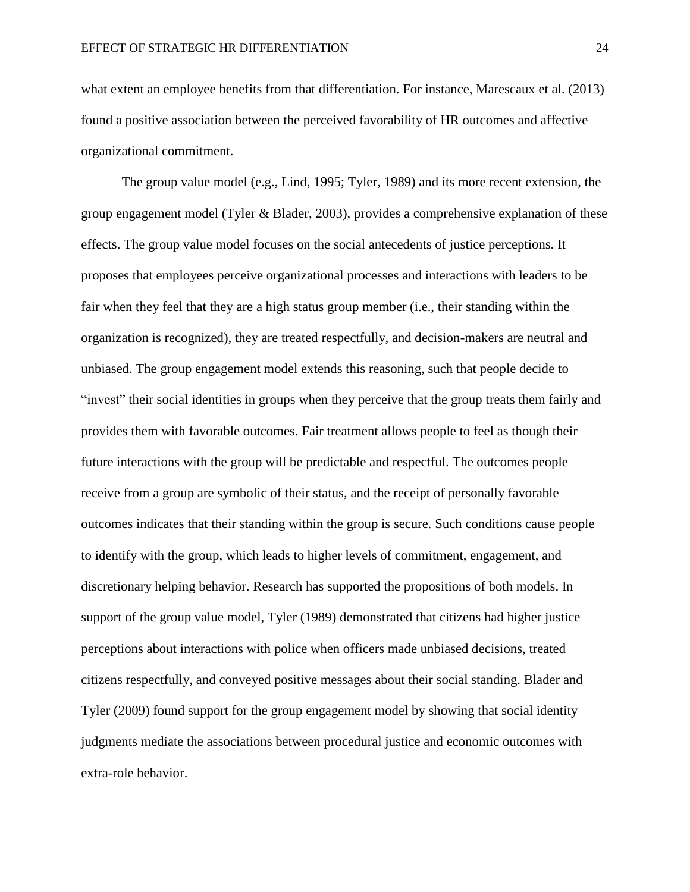what extent an employee benefits from that differentiation. For instance, Marescaux et al. (2013) found a positive association between the perceived favorability of HR outcomes and affective organizational commitment.

The group value model (e.g., Lind, 1995; Tyler, 1989) and its more recent extension, the group engagement model (Tyler & Blader, 2003), provides a comprehensive explanation of these effects. The group value model focuses on the social antecedents of justice perceptions. It proposes that employees perceive organizational processes and interactions with leaders to be fair when they feel that they are a high status group member (i.e., their standing within the organization is recognized), they are treated respectfully, and decision-makers are neutral and unbiased. The group engagement model extends this reasoning, such that people decide to "invest" their social identities in groups when they perceive that the group treats them fairly and provides them with favorable outcomes. Fair treatment allows people to feel as though their future interactions with the group will be predictable and respectful. The outcomes people receive from a group are symbolic of their status, and the receipt of personally favorable outcomes indicates that their standing within the group is secure. Such conditions cause people to identify with the group, which leads to higher levels of commitment, engagement, and discretionary helping behavior. Research has supported the propositions of both models. In support of the group value model, Tyler (1989) demonstrated that citizens had higher justice perceptions about interactions with police when officers made unbiased decisions, treated citizens respectfully, and conveyed positive messages about their social standing. Blader and Tyler (2009) found support for the group engagement model by showing that social identity judgments mediate the associations between procedural justice and economic outcomes with extra-role behavior.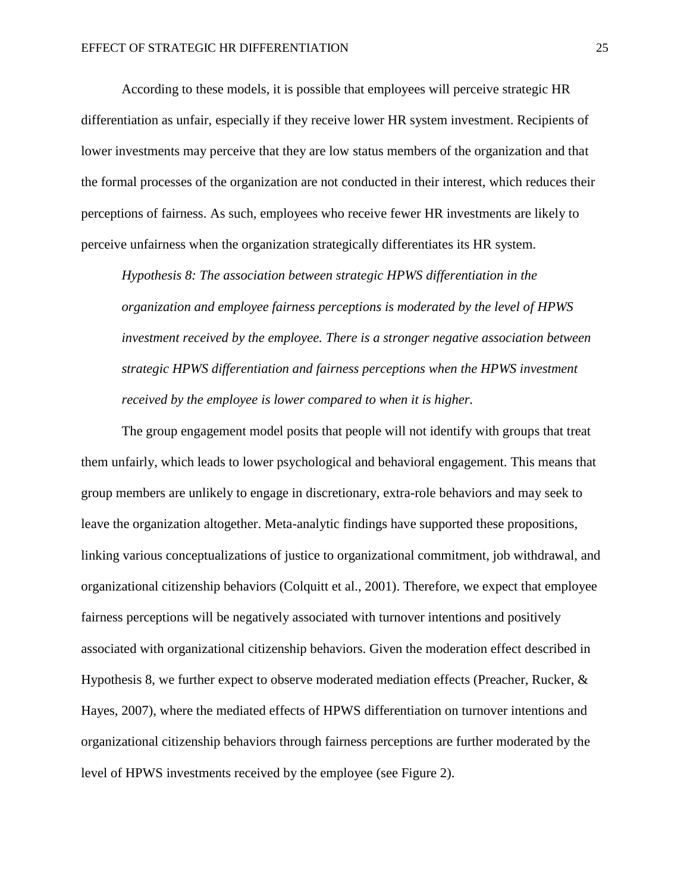According to these models, it is possible that employees will perceive strategic HR differentiation as unfair, especially if they receive lower HR system investment. Recipients of lower investments may perceive that they are low status members of the organization and that the formal processes of the organization are not conducted in their interest, which reduces their perceptions of fairness. As such, employees who receive fewer HR investments are likely to perceive unfairness when the organization strategically differentiates its HR system.

*Hypothesis 8: The association between strategic HPWS differentiation in the organization and employee fairness perceptions is moderated by the level of HPWS investment received by the employee. There is a stronger negative association between strategic HPWS differentiation and fairness perceptions when the HPWS investment received by the employee is lower compared to when it is higher.*

The group engagement model posits that people will not identify with groups that treat them unfairly, which leads to lower psychological and behavioral engagement. This means that group members are unlikely to engage in discretionary, extra-role behaviors and may seek to leave the organization altogether. Meta-analytic findings have supported these propositions, linking various conceptualizations of justice to organizational commitment, job withdrawal, and organizational citizenship behaviors (Colquitt et al., 2001). Therefore, we expect that employee fairness perceptions will be negatively associated with turnover intentions and positively associated with organizational citizenship behaviors. Given the moderation effect described in Hypothesis 8, we further expect to observe moderated mediation effects (Preacher, Rucker, & Hayes, 2007), where the mediated effects of HPWS differentiation on turnover intentions and organizational citizenship behaviors through fairness perceptions are further moderated by the level of HPWS investments received by the employee (see Figure 2).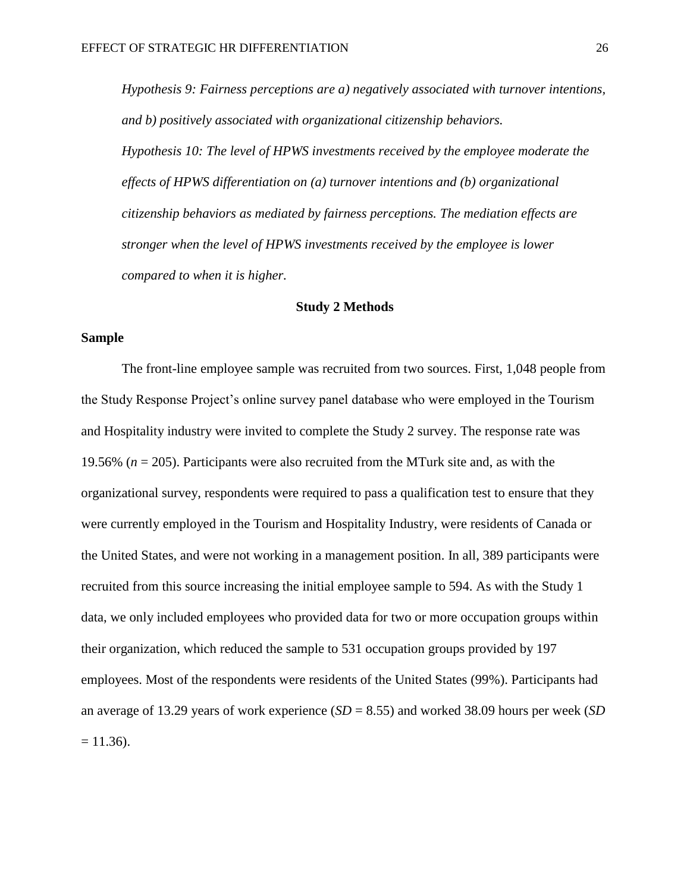*Hypothesis 9: Fairness perceptions are a) negatively associated with turnover intentions, and b) positively associated with organizational citizenship behaviors. Hypothesis 10: The level of HPWS investments received by the employee moderate the effects of HPWS differentiation on (a) turnover intentions and (b) organizational citizenship behaviors as mediated by fairness perceptions. The mediation effects are stronger when the level of HPWS investments received by the employee is lower compared to when it is higher.*

# **Study 2 Methods**

# **Sample**

The front-line employee sample was recruited from two sources. First, 1,048 people from the Study Response Project's online survey panel database who were employed in the Tourism and Hospitality industry were invited to complete the Study 2 survey. The response rate was 19.56% (*n* = 205). Participants were also recruited from the MTurk site and, as with the organizational survey, respondents were required to pass a qualification test to ensure that they were currently employed in the Tourism and Hospitality Industry, were residents of Canada or the United States, and were not working in a management position. In all, 389 participants were recruited from this source increasing the initial employee sample to 594. As with the Study 1 data, we only included employees who provided data for two or more occupation groups within their organization, which reduced the sample to 531 occupation groups provided by 197 employees. Most of the respondents were residents of the United States (99%). Participants had an average of 13.29 years of work experience (*SD* = 8.55) and worked 38.09 hours per week (*SD*  $= 11.36$ ).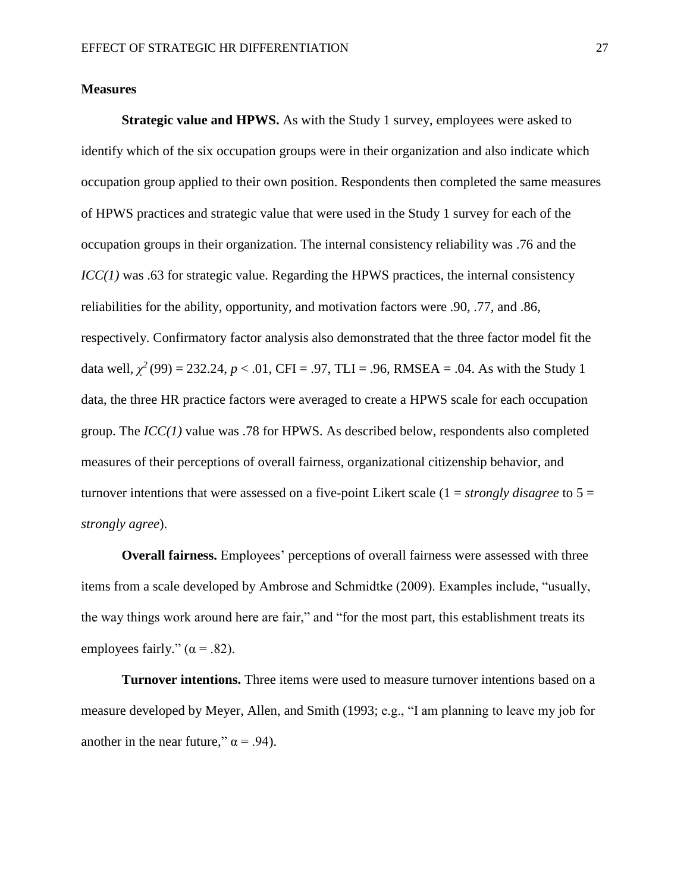# **Measures**

**Strategic value and HPWS.** As with the Study 1 survey, employees were asked to identify which of the six occupation groups were in their organization and also indicate which occupation group applied to their own position. Respondents then completed the same measures of HPWS practices and strategic value that were used in the Study 1 survey for each of the occupation groups in their organization. The internal consistency reliability was .76 and the *ICC(1)* was .63 for strategic value. Regarding the HPWS practices, the internal consistency reliabilities for the ability, opportunity, and motivation factors were .90, .77, and .86, respectively. Confirmatory factor analysis also demonstrated that the three factor model fit the data well,  $\chi^2$  (99) = 232.24, *p* < .01, CFI = .97, TLI = .96, RMSEA = .04. As with the Study 1 data, the three HR practice factors were averaged to create a HPWS scale for each occupation group. The *ICC(1)* value was .78 for HPWS. As described below, respondents also completed measures of their perceptions of overall fairness, organizational citizenship behavior, and turnover intentions that were assessed on a five-point Likert scale (1 = *strongly disagree* to 5 = *strongly agree*).

**Overall fairness.** Employees' perceptions of overall fairness were assessed with three items from a scale developed by Ambrose and Schmidtke (2009). Examples include, "usually, the way things work around here are fair," and "for the most part, this establishment treats its employees fairly."  $(\alpha = .82)$ .

**Turnover intentions.** Three items were used to measure turnover intentions based on a measure developed by Meyer, Allen, and Smith (1993; e.g., "I am planning to leave my job for another in the near future,"  $\alpha$  = .94).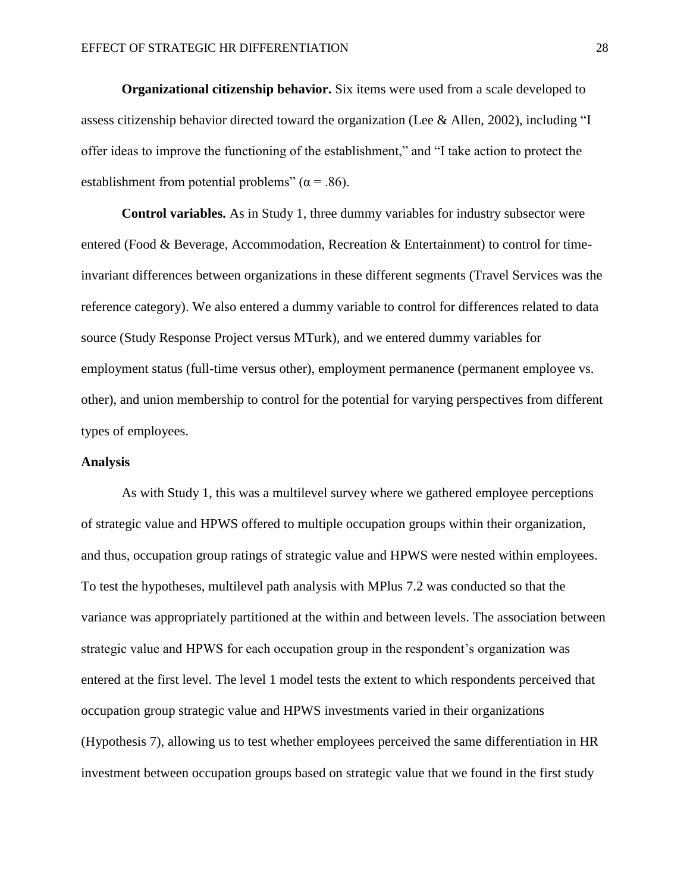**Organizational citizenship behavior.** Six items were used from a scale developed to assess citizenship behavior directed toward the organization (Lee & Allen, 2002), including "I offer ideas to improve the functioning of the establishment," and "I take action to protect the establishment from potential problems" ( $\alpha$  = .86).

**Control variables.** As in Study 1, three dummy variables for industry subsector were entered (Food & Beverage, Accommodation, Recreation & Entertainment) to control for timeinvariant differences between organizations in these different segments (Travel Services was the reference category). We also entered a dummy variable to control for differences related to data source (Study Response Project versus MTurk), and we entered dummy variables for employment status (full-time versus other), employment permanence (permanent employee vs. other), and union membership to control for the potential for varying perspectives from different types of employees.

#### **Analysis**

As with Study 1, this was a multilevel survey where we gathered employee perceptions of strategic value and HPWS offered to multiple occupation groups within their organization, and thus, occupation group ratings of strategic value and HPWS were nested within employees. To test the hypotheses, multilevel path analysis with MPlus 7.2 was conducted so that the variance was appropriately partitioned at the within and between levels. The association between strategic value and HPWS for each occupation group in the respondent's organization was entered at the first level. The level 1 model tests the extent to which respondents perceived that occupation group strategic value and HPWS investments varied in their organizations (Hypothesis 7), allowing us to test whether employees perceived the same differentiation in HR investment between occupation groups based on strategic value that we found in the first study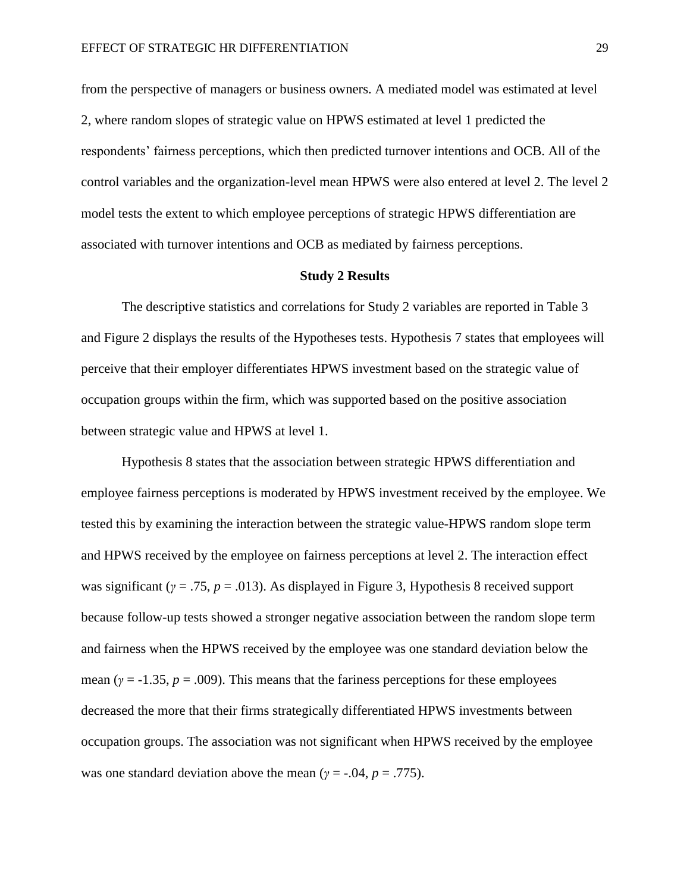from the perspective of managers or business owners. A mediated model was estimated at level 2, where random slopes of strategic value on HPWS estimated at level 1 predicted the respondents' fairness perceptions, which then predicted turnover intentions and OCB. All of the control variables and the organization-level mean HPWS were also entered at level 2. The level 2 model tests the extent to which employee perceptions of strategic HPWS differentiation are associated with turnover intentions and OCB as mediated by fairness perceptions.

#### **Study 2 Results**

The descriptive statistics and correlations for Study 2 variables are reported in Table 3 and Figure 2 displays the results of the Hypotheses tests. Hypothesis 7 states that employees will perceive that their employer differentiates HPWS investment based on the strategic value of occupation groups within the firm, which was supported based on the positive association between strategic value and HPWS at level 1.

Hypothesis 8 states that the association between strategic HPWS differentiation and employee fairness perceptions is moderated by HPWS investment received by the employee. We tested this by examining the interaction between the strategic value-HPWS random slope term and HPWS received by the employee on fairness perceptions at level 2. The interaction effect was significant (*γ* = .75, *p* = .013). As displayed in Figure 3, Hypothesis 8 received support because follow-up tests showed a stronger negative association between the random slope term and fairness when the HPWS received by the employee was one standard deviation below the mean ( $\gamma$  = -1.35,  $p$  = .009). This means that the fariness perceptions for these employees decreased the more that their firms strategically differentiated HPWS investments between occupation groups. The association was not significant when HPWS received by the employee was one standard deviation above the mean ( $\gamma = -0.04$ ,  $p = .775$ ).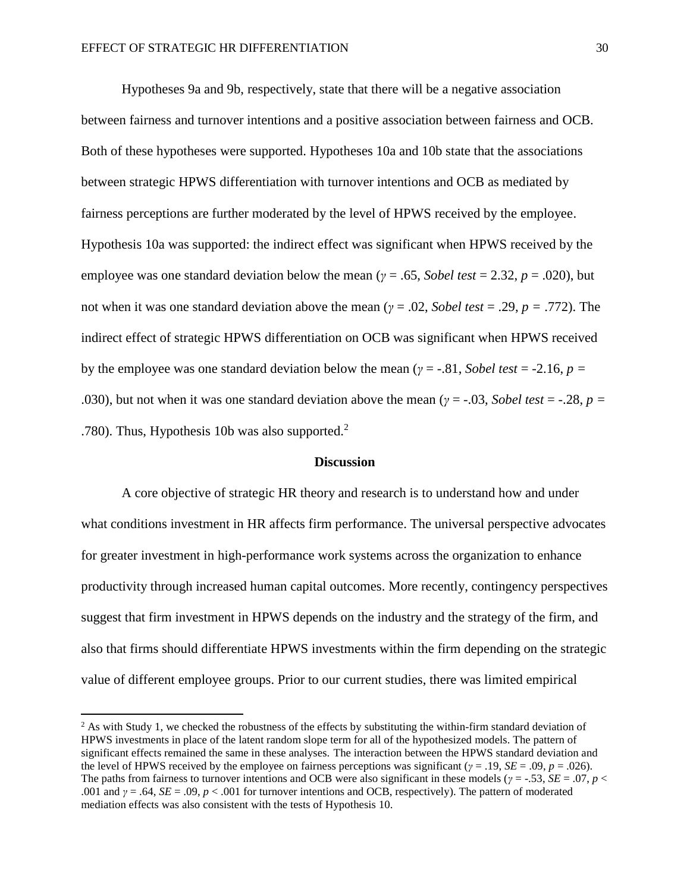$\overline{\phantom{a}}$ 

Hypotheses 9a and 9b, respectively, state that there will be a negative association between fairness and turnover intentions and a positive association between fairness and OCB. Both of these hypotheses were supported. Hypotheses 10a and 10b state that the associations between strategic HPWS differentiation with turnover intentions and OCB as mediated by fairness perceptions are further moderated by the level of HPWS received by the employee. Hypothesis 10a was supported: the indirect effect was significant when HPWS received by the employee was one standard deviation below the mean ( $\gamma = .65$ , *Sobel test* = 2.32, *p* = .020), but not when it was one standard deviation above the mean (*γ* = .02, *Sobel test* = .29, *p =* .772). The indirect effect of strategic HPWS differentiation on OCB was significant when HPWS received by the employee was one standard deviation below the mean ( $\gamma = -0.81$ , *Sobel test* = -2.16, *p* = .030), but not when it was one standard deviation above the mean ( $\gamma = -0.03$ , *Sobel test* = -.28, *p* = .780). Thus, Hypothesis 10b was also supported.<sup>2</sup>

#### **Discussion**

A core objective of strategic HR theory and research is to understand how and under what conditions investment in HR affects firm performance. The universal perspective advocates for greater investment in high-performance work systems across the organization to enhance productivity through increased human capital outcomes. More recently, contingency perspectives suggest that firm investment in HPWS depends on the industry and the strategy of the firm, and also that firms should differentiate HPWS investments within the firm depending on the strategic value of different employee groups. Prior to our current studies, there was limited empirical

 $2$  As with Study 1, we checked the robustness of the effects by substituting the within-firm standard deviation of HPWS investments in place of the latent random slope term for all of the hypothesized models. The pattern of significant effects remained the same in these analyses. The interaction between the HPWS standard deviation and the level of HPWS received by the employee on fairness perceptions was significant ( $\gamma = .19$ ,  $SE = .09$ ,  $p = .026$ ). The paths from fairness to turnover intentions and OCB were also significant in these models ( $\gamma = -53$ ,  $SE = .07$ ,  $p <$ .001 and *γ* = .64, *SE* = .09, *p* < .001 for turnover intentions and OCB, respectively). The pattern of moderated mediation effects was also consistent with the tests of Hypothesis 10.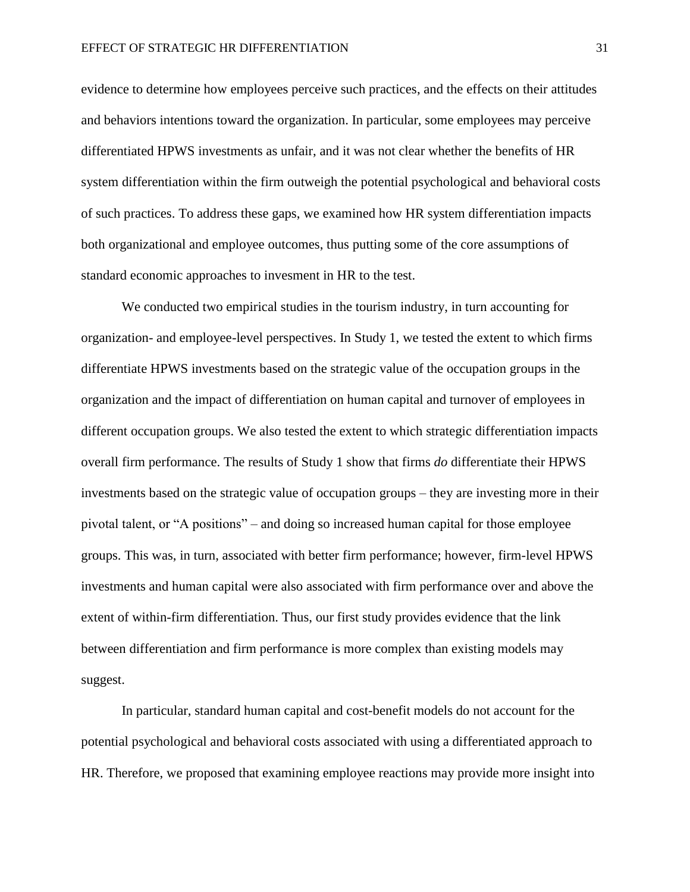evidence to determine how employees perceive such practices, and the effects on their attitudes and behaviors intentions toward the organization. In particular, some employees may perceive differentiated HPWS investments as unfair, and it was not clear whether the benefits of HR system differentiation within the firm outweigh the potential psychological and behavioral costs of such practices. To address these gaps, we examined how HR system differentiation impacts both organizational and employee outcomes, thus putting some of the core assumptions of standard economic approaches to invesment in HR to the test.

We conducted two empirical studies in the tourism industry, in turn accounting for organization- and employee-level perspectives. In Study 1, we tested the extent to which firms differentiate HPWS investments based on the strategic value of the occupation groups in the organization and the impact of differentiation on human capital and turnover of employees in different occupation groups. We also tested the extent to which strategic differentiation impacts overall firm performance. The results of Study 1 show that firms *do* differentiate their HPWS investments based on the strategic value of occupation groups – they are investing more in their pivotal talent, or "A positions" – and doing so increased human capital for those employee groups. This was, in turn, associated with better firm performance; however, firm-level HPWS investments and human capital were also associated with firm performance over and above the extent of within-firm differentiation. Thus, our first study provides evidence that the link between differentiation and firm performance is more complex than existing models may suggest.

In particular, standard human capital and cost-benefit models do not account for the potential psychological and behavioral costs associated with using a differentiated approach to HR. Therefore, we proposed that examining employee reactions may provide more insight into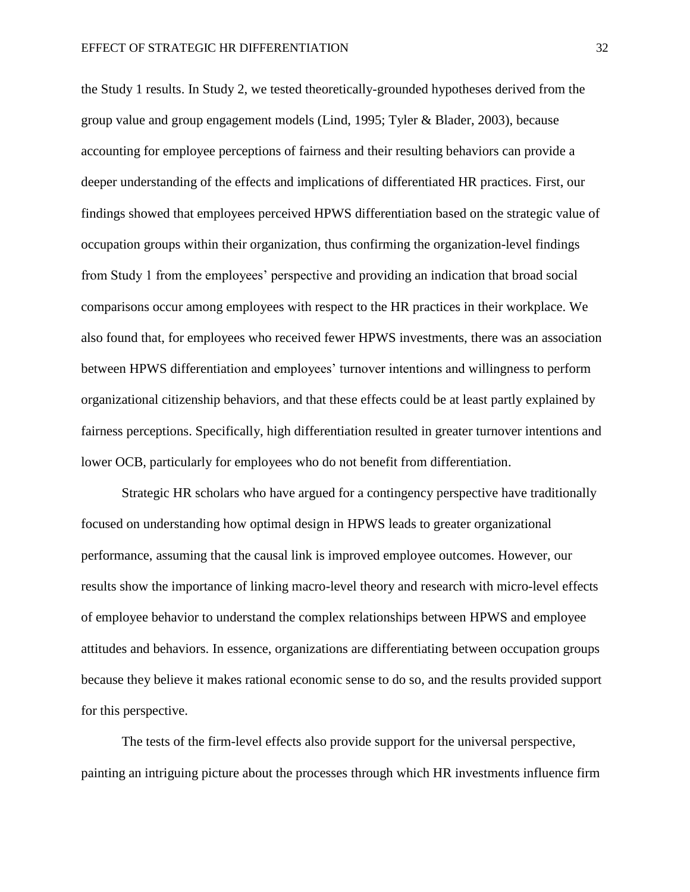the Study 1 results. In Study 2, we tested theoretically-grounded hypotheses derived from the group value and group engagement models (Lind, 1995; Tyler & Blader, 2003), because accounting for employee perceptions of fairness and their resulting behaviors can provide a deeper understanding of the effects and implications of differentiated HR practices. First, our findings showed that employees perceived HPWS differentiation based on the strategic value of occupation groups within their organization, thus confirming the organization-level findings from Study 1 from the employees' perspective and providing an indication that broad social comparisons occur among employees with respect to the HR practices in their workplace. We also found that, for employees who received fewer HPWS investments, there was an association between HPWS differentiation and employees' turnover intentions and willingness to perform organizational citizenship behaviors, and that these effects could be at least partly explained by fairness perceptions. Specifically, high differentiation resulted in greater turnover intentions and lower OCB, particularly for employees who do not benefit from differentiation.

Strategic HR scholars who have argued for a contingency perspective have traditionally focused on understanding how optimal design in HPWS leads to greater organizational performance, assuming that the causal link is improved employee outcomes. However, our results show the importance of linking macro-level theory and research with micro-level effects of employee behavior to understand the complex relationships between HPWS and employee attitudes and behaviors. In essence, organizations are differentiating between occupation groups because they believe it makes rational economic sense to do so, and the results provided support for this perspective.

The tests of the firm-level effects also provide support for the universal perspective, painting an intriguing picture about the processes through which HR investments influence firm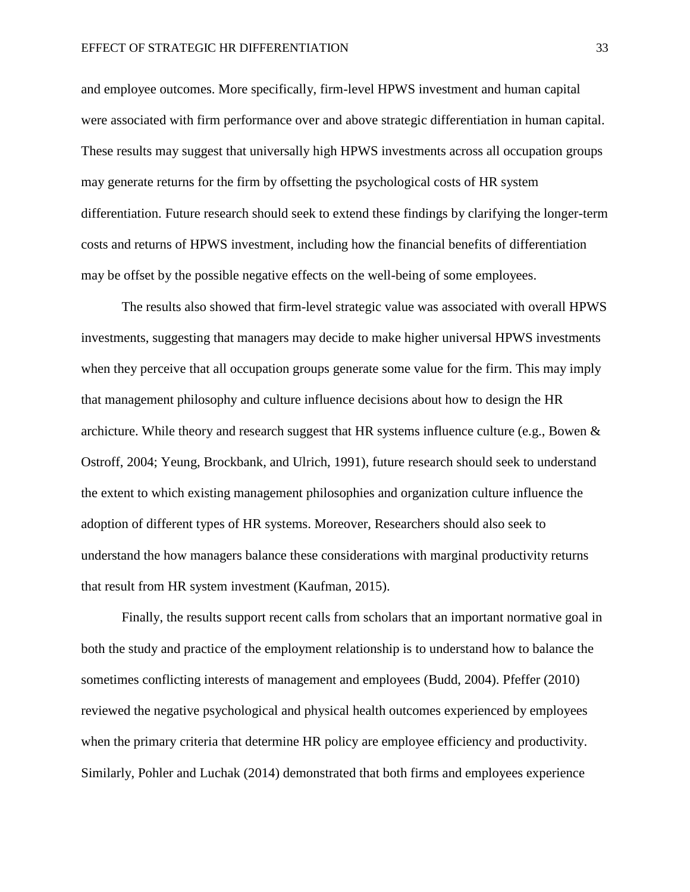and employee outcomes. More specifically, firm-level HPWS investment and human capital were associated with firm performance over and above strategic differentiation in human capital. These results may suggest that universally high HPWS investments across all occupation groups may generate returns for the firm by offsetting the psychological costs of HR system differentiation. Future research should seek to extend these findings by clarifying the longer-term costs and returns of HPWS investment, including how the financial benefits of differentiation may be offset by the possible negative effects on the well-being of some employees.

The results also showed that firm-level strategic value was associated with overall HPWS investments, suggesting that managers may decide to make higher universal HPWS investments when they perceive that all occupation groups generate some value for the firm. This may imply that management philosophy and culture influence decisions about how to design the HR archicture. While theory and research suggest that HR systems influence culture (e.g., Bowen  $\&$ Ostroff, 2004; Yeung, Brockbank, and Ulrich, 1991), future research should seek to understand the extent to which existing management philosophies and organization culture influence the adoption of different types of HR systems. Moreover, Researchers should also seek to understand the how managers balance these considerations with marginal productivity returns that result from HR system investment (Kaufman, 2015).

Finally, the results support recent calls from scholars that an important normative goal in both the study and practice of the employment relationship is to understand how to balance the sometimes conflicting interests of management and employees (Budd, 2004). Pfeffer (2010) reviewed the negative psychological and physical health outcomes experienced by employees when the primary criteria that determine HR policy are employee efficiency and productivity. Similarly, Pohler and Luchak (2014) demonstrated that both firms and employees experience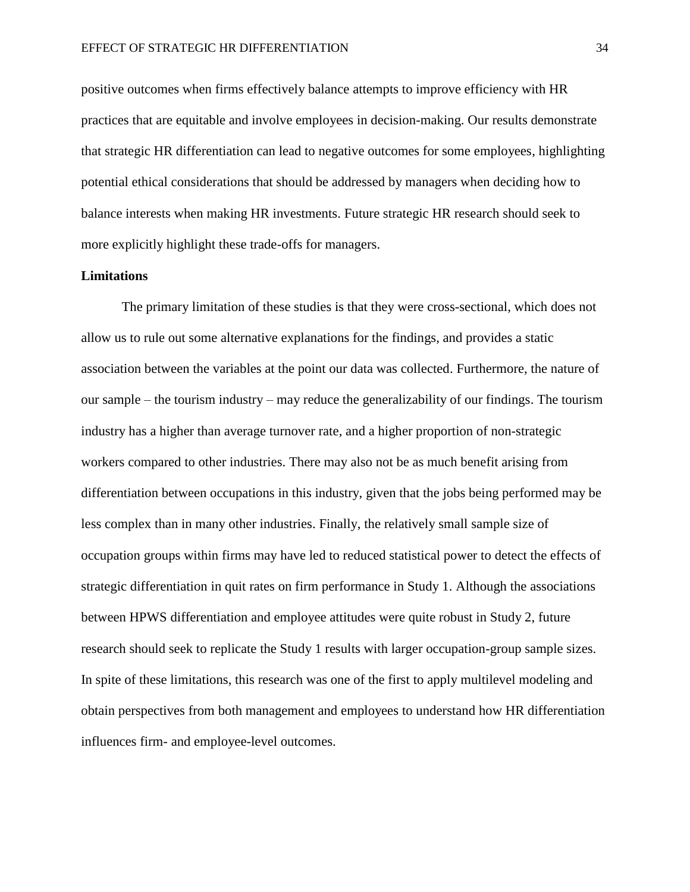positive outcomes when firms effectively balance attempts to improve efficiency with HR practices that are equitable and involve employees in decision-making. Our results demonstrate that strategic HR differentiation can lead to negative outcomes for some employees, highlighting potential ethical considerations that should be addressed by managers when deciding how to balance interests when making HR investments. Future strategic HR research should seek to more explicitly highlight these trade-offs for managers.

# **Limitations**

The primary limitation of these studies is that they were cross-sectional, which does not allow us to rule out some alternative explanations for the findings, and provides a static association between the variables at the point our data was collected. Furthermore, the nature of our sample – the tourism industry – may reduce the generalizability of our findings. The tourism industry has a higher than average turnover rate, and a higher proportion of non-strategic workers compared to other industries. There may also not be as much benefit arising from differentiation between occupations in this industry, given that the jobs being performed may be less complex than in many other industries. Finally, the relatively small sample size of occupation groups within firms may have led to reduced statistical power to detect the effects of strategic differentiation in quit rates on firm performance in Study 1. Although the associations between HPWS differentiation and employee attitudes were quite robust in Study 2, future research should seek to replicate the Study 1 results with larger occupation-group sample sizes. In spite of these limitations, this research was one of the first to apply multilevel modeling and obtain perspectives from both management and employees to understand how HR differentiation influences firm- and employee-level outcomes.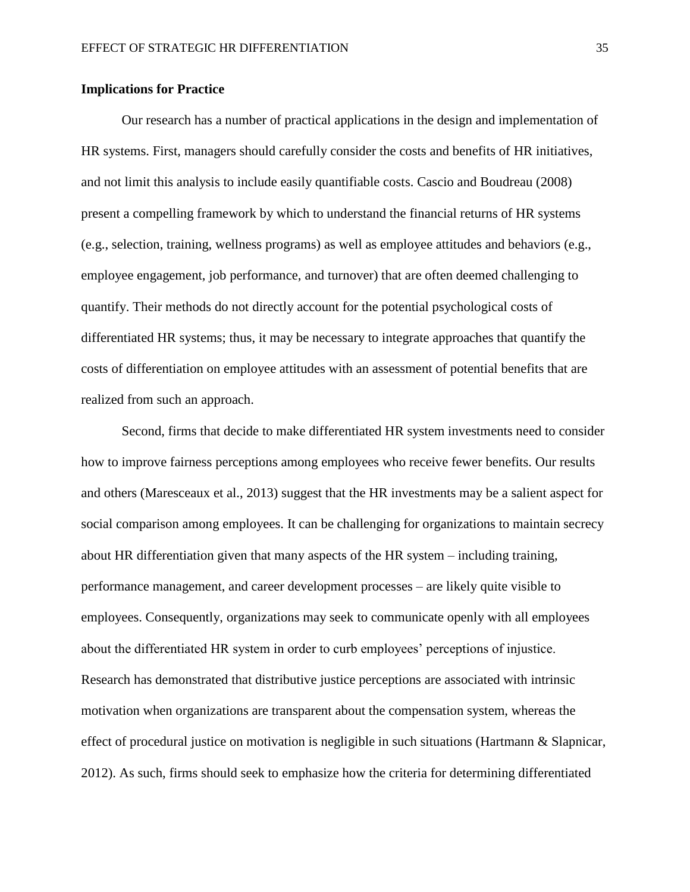# **Implications for Practice**

Our research has a number of practical applications in the design and implementation of HR systems. First, managers should carefully consider the costs and benefits of HR initiatives, and not limit this analysis to include easily quantifiable costs. Cascio and Boudreau (2008) present a compelling framework by which to understand the financial returns of HR systems (e.g., selection, training, wellness programs) as well as employee attitudes and behaviors (e.g., employee engagement, job performance, and turnover) that are often deemed challenging to quantify. Their methods do not directly account for the potential psychological costs of differentiated HR systems; thus, it may be necessary to integrate approaches that quantify the costs of differentiation on employee attitudes with an assessment of potential benefits that are realized from such an approach.

Second, firms that decide to make differentiated HR system investments need to consider how to improve fairness perceptions among employees who receive fewer benefits. Our results and others (Maresceaux et al., 2013) suggest that the HR investments may be a salient aspect for social comparison among employees. It can be challenging for organizations to maintain secrecy about HR differentiation given that many aspects of the HR system – including training, performance management, and career development processes – are likely quite visible to employees. Consequently, organizations may seek to communicate openly with all employees about the differentiated HR system in order to curb employees' perceptions of injustice. Research has demonstrated that distributive justice perceptions are associated with intrinsic motivation when organizations are transparent about the compensation system, whereas the effect of procedural justice on motivation is negligible in such situations (Hartmann & Slapnicar, 2012). As such, firms should seek to emphasize how the criteria for determining differentiated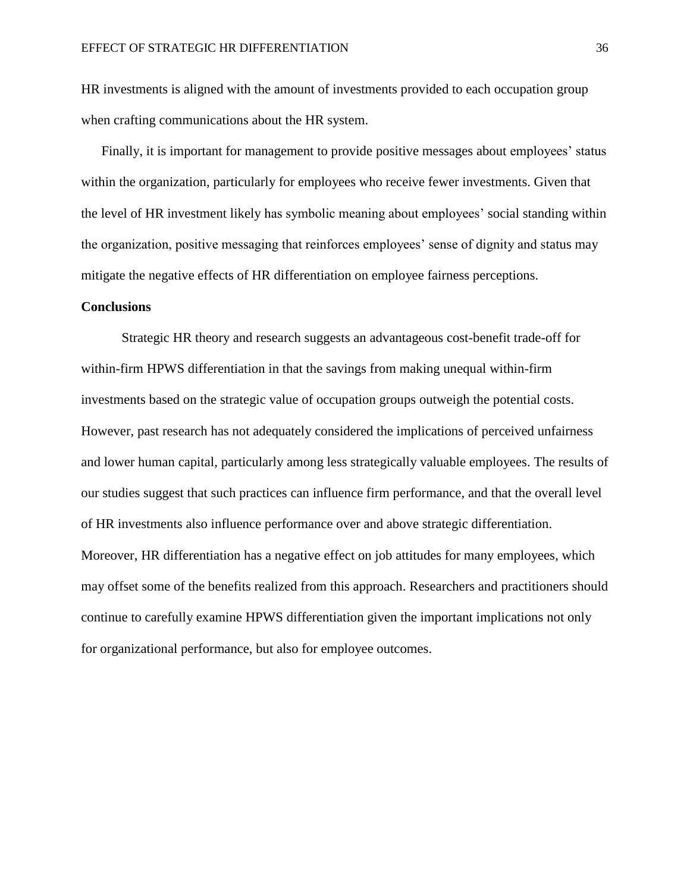HR investments is aligned with the amount of investments provided to each occupation group when crafting communications about the HR system.

Finally, it is important for management to provide positive messages about employees' status within the organization, particularly for employees who receive fewer investments. Given that the level of HR investment likely has symbolic meaning about employees' social standing within the organization, positive messaging that reinforces employees' sense of dignity and status may mitigate the negative effects of HR differentiation on employee fairness perceptions.

## **Conclusions**

Strategic HR theory and research suggests an advantageous cost-benefit trade-off for within-firm HPWS differentiation in that the savings from making unequal within-firm investments based on the strategic value of occupation groups outweigh the potential costs. However, past research has not adequately considered the implications of perceived unfairness and lower human capital, particularly among less strategically valuable employees. The results of our studies suggest that such practices can influence firm performance, and that the overall level of HR investments also influence performance over and above strategic differentiation. Moreover, HR differentiation has a negative effect on job attitudes for many employees, which may offset some of the benefits realized from this approach. Researchers and practitioners should continue to carefully examine HPWS differentiation given the important implications not only for organizational performance, but also for employee outcomes.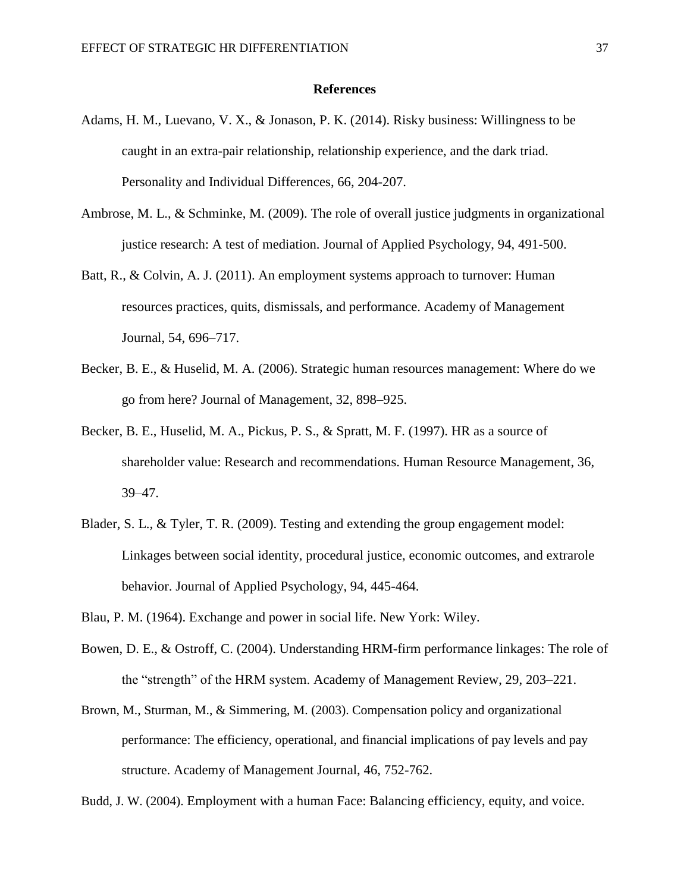## **References**

- Adams, H. M., Luevano, V. X., & Jonason, P. K. (2014). Risky business: Willingness to be caught in an extra-pair relationship, relationship experience, and the dark triad. Personality and Individual Differences, 66, 204-207.
- Ambrose, M. L., & Schminke, M. (2009). The role of overall justice judgments in organizational justice research: A test of mediation. Journal of Applied Psychology, 94, 491-500.
- Batt, R., & Colvin, A. J. (2011). An employment systems approach to turnover: Human resources practices, quits, dismissals, and performance. Academy of Management Journal, 54, 696–717.
- Becker, B. E., & Huselid, M. A. (2006). Strategic human resources management: Where do we go from here? Journal of Management, 32, 898–925.
- Becker, B. E., Huselid, M. A., Pickus, P. S., & Spratt, M. F. (1997). HR as a source of shareholder value: Research and recommendations. Human Resource Management, 36, 39–47.
- Blader, S. L., & Tyler, T. R. (2009). Testing and extending the group engagement model: Linkages between social identity, procedural justice, economic outcomes, and extrarole behavior. Journal of Applied Psychology, 94, 445-464.
- Blau, P. M. (1964). Exchange and power in social life. New York: Wiley.
- Bowen, D. E., & Ostroff, C. (2004). Understanding HRM-firm performance linkages: The role of the "strength" of the HRM system. Academy of Management Review, 29, 203–221.
- Brown, M., Sturman, M., & Simmering, M. (2003). Compensation policy and organizational performance: The efficiency, operational, and financial implications of pay levels and pay structure. Academy of Management Journal, 46, 752-762.

Budd, J. W. (2004). Employment with a human Face: Balancing efficiency, equity, and voice.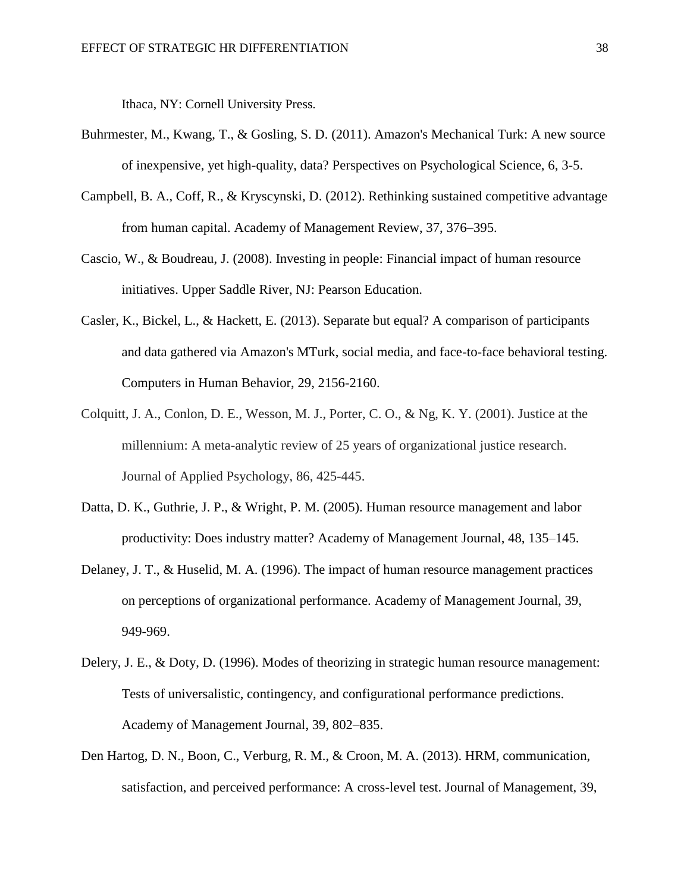Ithaca, NY: Cornell University Press.

- Buhrmester, M., Kwang, T., & Gosling, S. D. (2011). Amazon's Mechanical Turk: A new source of inexpensive, yet high-quality, data? Perspectives on Psychological Science, 6, 3-5.
- Campbell, B. A., Coff, R., & Kryscynski, D. (2012). Rethinking sustained competitive advantage from human capital. Academy of Management Review, 37, 376–395.
- Cascio, W., & Boudreau, J. (2008). Investing in people: Financial impact of human resource initiatives. Upper Saddle River, NJ: Pearson Education.
- Casler, K., Bickel, L., & Hackett, E. (2013). Separate but equal? A comparison of participants and data gathered via Amazon's MTurk, social media, and face-to-face behavioral testing. Computers in Human Behavior, 29, 2156-2160.
- Colquitt, J. A., Conlon, D. E., Wesson, M. J., Porter, C. O., & Ng, K. Y. (2001). Justice at the millennium: A meta-analytic review of 25 years of organizational justice research. Journal of Applied Psychology, 86, 425-445.
- Datta, D. K., Guthrie, J. P., & Wright, P. M. (2005). Human resource management and labor productivity: Does industry matter? Academy of Management Journal, 48, 135–145.
- Delaney, J. T., & Huselid, M. A. (1996). The impact of human resource management practices on perceptions of organizational performance. Academy of Management Journal, 39, 949-969.
- Delery, J. E., & Doty, D. (1996). Modes of theorizing in strategic human resource management: Tests of universalistic, contingency, and configurational performance predictions. Academy of Management Journal, 39, 802–835.
- Den Hartog, D. N., Boon, C., Verburg, R. M., & Croon, M. A. (2013). HRM, communication, satisfaction, and perceived performance: A cross-level test. Journal of Management, 39,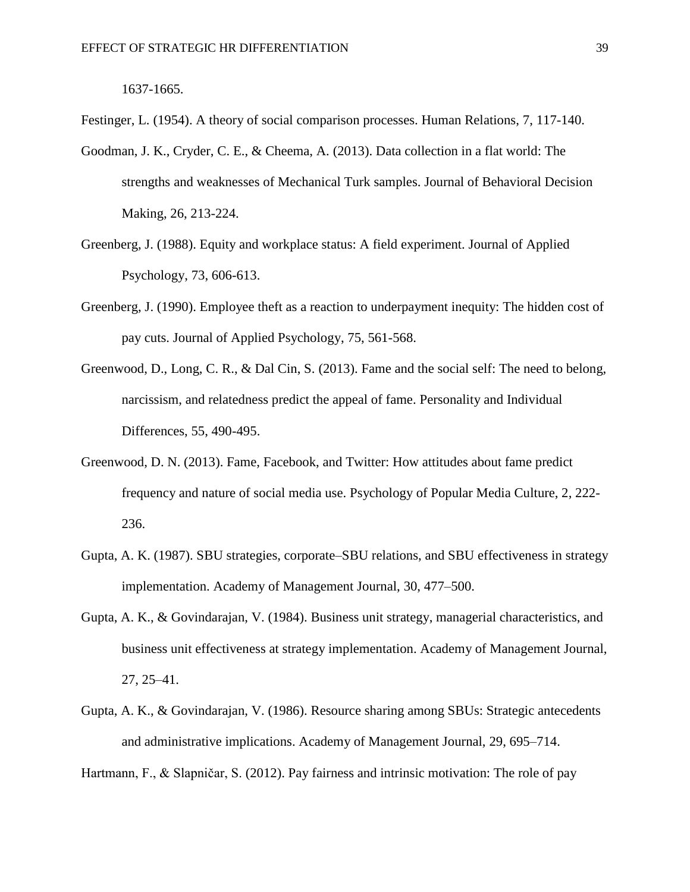1637-1665.

Festinger, L. (1954). A theory of social comparison processes. Human Relations, 7, 117-140.

- Goodman, J. K., Cryder, C. E., & Cheema, A. (2013). Data collection in a flat world: The strengths and weaknesses of Mechanical Turk samples. Journal of Behavioral Decision Making, 26, 213-224.
- Greenberg, J. (1988). Equity and workplace status: A field experiment. Journal of Applied Psychology, 73, 606-613.
- Greenberg, J. (1990). Employee theft as a reaction to underpayment inequity: The hidden cost of pay cuts. Journal of Applied Psychology, 75, 561-568.
- Greenwood, D., Long, C. R., & Dal Cin, S. (2013). Fame and the social self: The need to belong, narcissism, and relatedness predict the appeal of fame. Personality and Individual Differences, 55, 490-495.
- Greenwood, D. N. (2013). Fame, Facebook, and Twitter: How attitudes about fame predict frequency and nature of social media use. Psychology of Popular Media Culture, 2, 222- 236.
- Gupta, A. K. (1987). SBU strategies, corporate–SBU relations, and SBU effectiveness in strategy implementation. Academy of Management Journal, 30, 477–500.
- Gupta, A. K., & Govindarajan, V. (1984). Business unit strategy, managerial characteristics, and business unit effectiveness at strategy implementation. Academy of Management Journal, 27, 25–41.
- Gupta, A. K., & Govindarajan, V. (1986). Resource sharing among SBUs: Strategic antecedents and administrative implications. Academy of Management Journal, 29, 695–714.

Hartmann, F., & Slapničar, S. (2012). Pay fairness and intrinsic motivation: The role of pay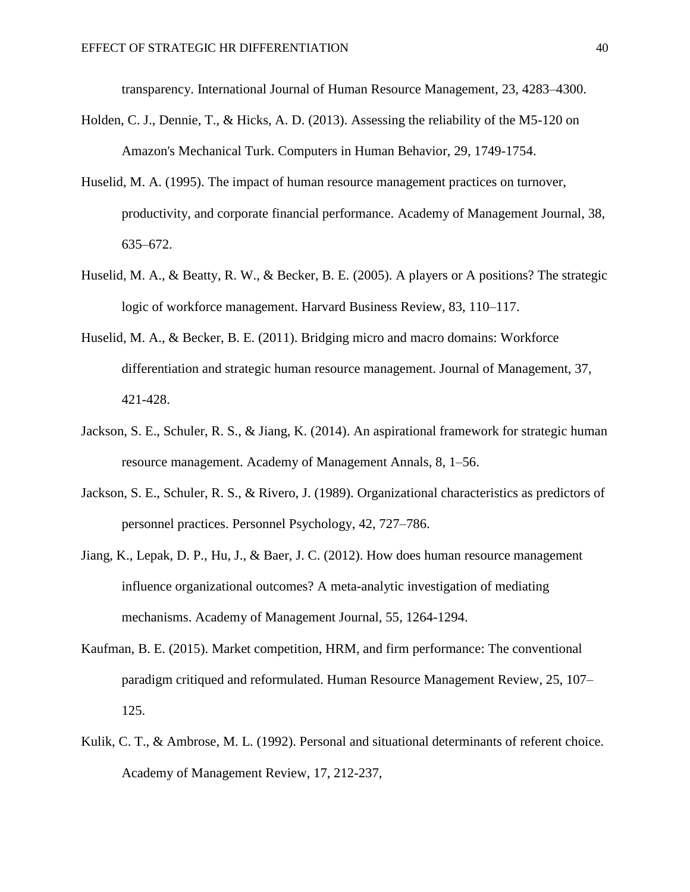transparency. International Journal of Human Resource Management, 23, 4283–4300.

- Holden, C. J., Dennie, T., & Hicks, A. D. (2013). Assessing the reliability of the M5-120 on Amazon's Mechanical Turk. Computers in Human Behavior, 29, 1749-1754.
- Huselid, M. A. (1995). The impact of human resource management practices on turnover, productivity, and corporate financial performance. Academy of Management Journal, 38, 635–672.
- Huselid, M. A., & Beatty, R. W., & Becker, B. E. (2005). A players or A positions? The strategic logic of workforce management. Harvard Business Review, 83, 110–117.
- Huselid, M. A., & Becker, B. E. (2011). Bridging micro and macro domains: Workforce differentiation and strategic human resource management. Journal of Management, 37, 421-428.
- Jackson, S. E., Schuler, R. S., & Jiang, K. (2014). An aspirational framework for strategic human resource management. Academy of Management Annals, 8, 1–56.
- Jackson, S. E., Schuler, R. S., & Rivero, J. (1989). Organizational characteristics as predictors of personnel practices. Personnel Psychology, 42, 727–786.
- Jiang, K., Lepak, D. P., Hu, J., & Baer, J. C. (2012). How does human resource management influence organizational outcomes? A meta-analytic investigation of mediating mechanisms. Academy of Management Journal, 55, 1264-1294.
- Kaufman, B. E. (2015). Market competition, HRM, and firm performance: The conventional paradigm critiqued and reformulated. Human Resource Management Review, 25, 107– 125.
- Kulik, C. T., & Ambrose, M. L. (1992). Personal and situational determinants of referent choice. Academy of Management Review, 17, 212-237,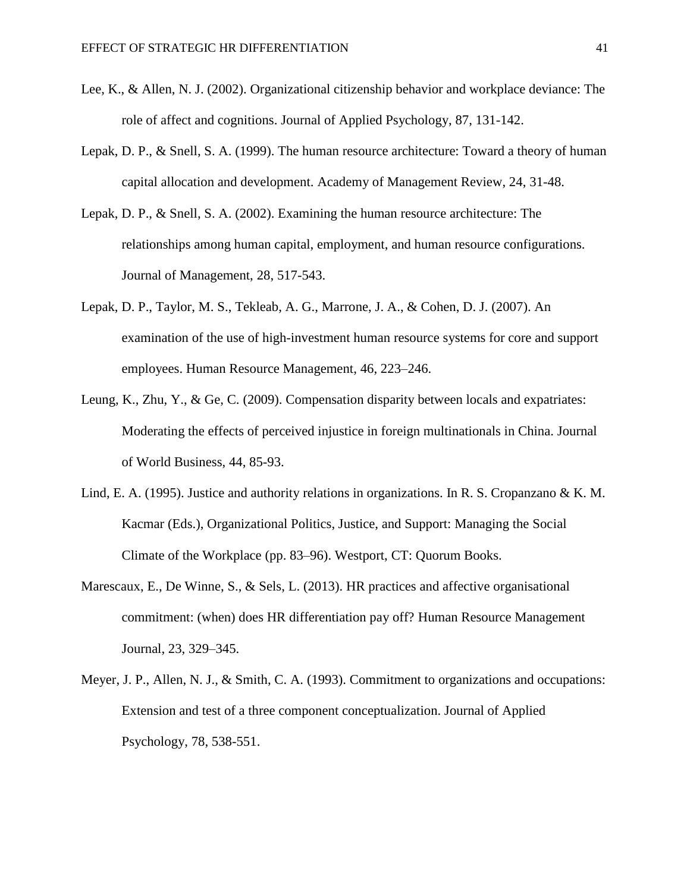- Lee, K., & Allen, N. J. (2002). Organizational citizenship behavior and workplace deviance: The role of affect and cognitions. Journal of Applied Psychology, 87, 131-142.
- Lepak, D. P., & Snell, S. A. (1999). The human resource architecture: Toward a theory of human capital allocation and development. Academy of Management Review, 24, 31-48.
- Lepak, D. P., & Snell, S. A. (2002). Examining the human resource architecture: The relationships among human capital, employment, and human resource configurations. Journal of Management, 28, 517-543.
- Lepak, D. P., Taylor, M. S., Tekleab, A. G., Marrone, J. A., & Cohen, D. J. (2007). An examination of the use of high-investment human resource systems for core and support employees. Human Resource Management, 46, 223–246.
- Leung, K., Zhu, Y., & Ge, C. (2009). Compensation disparity between locals and expatriates: Moderating the effects of perceived injustice in foreign multinationals in China. Journal of World Business, 44, 85-93.
- Lind, E. A. (1995). Justice and authority relations in organizations. In R. S. Cropanzano & K. M. Kacmar (Eds.), Organizational Politics, Justice, and Support: Managing the Social Climate of the Workplace (pp. 83–96). Westport, CT: Quorum Books.
- Marescaux, E., De Winne, S., & Sels, L. (2013). HR practices and affective organisational commitment: (when) does HR differentiation pay off? Human Resource Management Journal, 23, 329–345.
- Meyer, J. P., Allen, N. J., & Smith, C. A. (1993). Commitment to organizations and occupations: Extension and test of a three component conceptualization. Journal of Applied Psychology, 78, 538-551.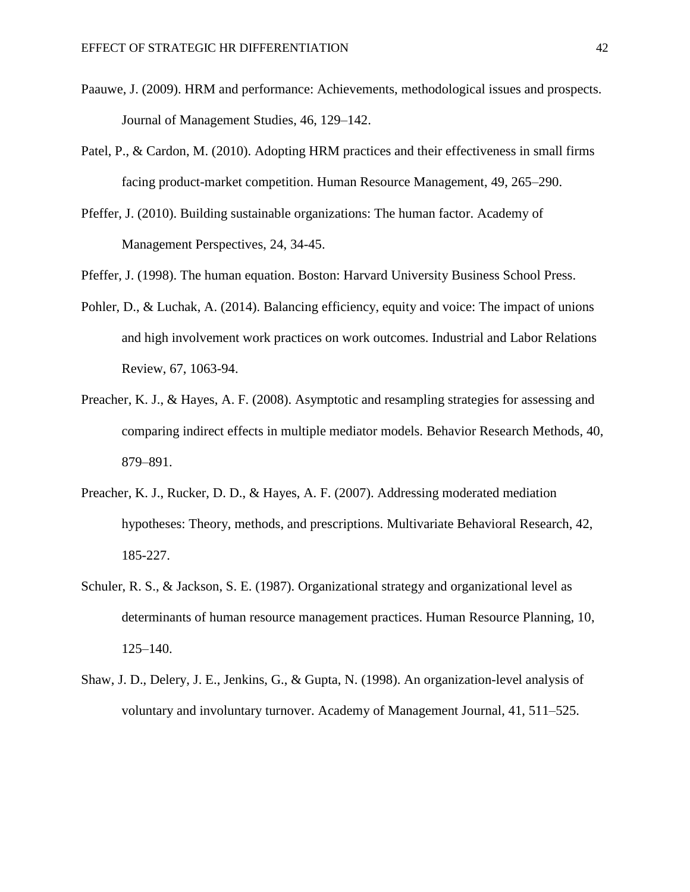- Paauwe, J. (2009). HRM and performance: Achievements, methodological issues and prospects. Journal of Management Studies, 46, 129–142.
- Patel, P., & Cardon, M. (2010). Adopting HRM practices and their effectiveness in small firms facing product-market competition. Human Resource Management, 49, 265–290.
- Pfeffer, J. (2010). Building sustainable organizations: The human factor. Academy of Management Perspectives, 24, 34-45.

Pfeffer, J. (1998). The human equation. Boston: Harvard University Business School Press.

- Pohler, D., & Luchak, A. (2014). Balancing efficiency, equity and voice: The impact of unions and high involvement work practices on work outcomes. Industrial and Labor Relations Review, 67, 1063-94.
- Preacher, K. J., & Hayes, A. F. (2008). Asymptotic and resampling strategies for assessing and comparing indirect effects in multiple mediator models. Behavior Research Methods, 40, 879–891.
- Preacher, K. J., Rucker, D. D., & Hayes, A. F. (2007). Addressing moderated mediation hypotheses: Theory, methods, and prescriptions. Multivariate Behavioral Research, 42, 185-227.
- Schuler, R. S., & Jackson, S. E. (1987). Organizational strategy and organizational level as determinants of human resource management practices. Human Resource Planning, 10, 125–140.
- Shaw, J. D., Delery, J. E., Jenkins, G., & Gupta, N. (1998). An organization-level analysis of voluntary and involuntary turnover. Academy of Management Journal, 41, 511–525.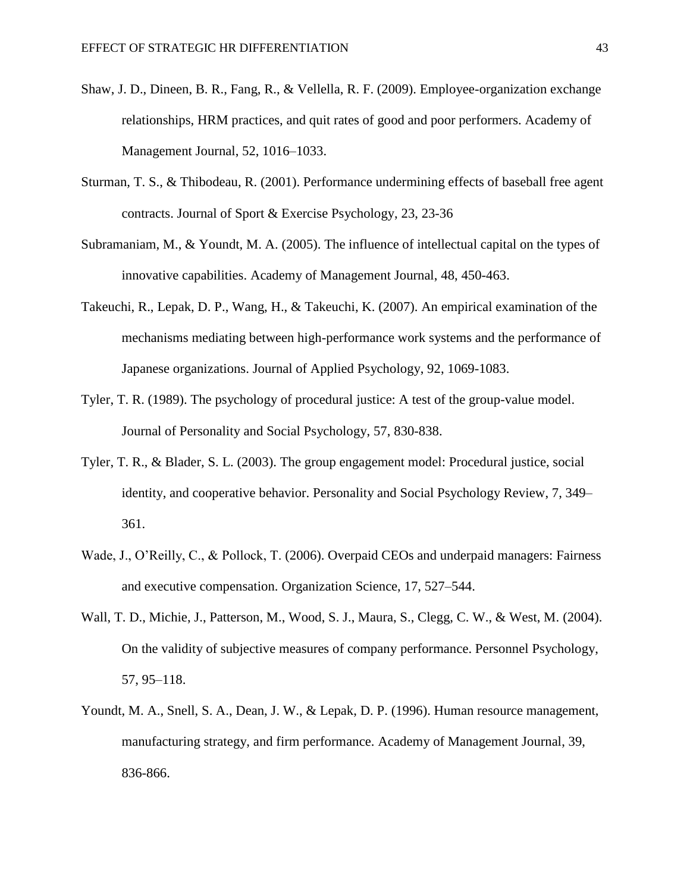- Shaw, J. D., Dineen, B. R., Fang, R., & Vellella, R. F. (2009). Employee-organization exchange relationships, HRM practices, and quit rates of good and poor performers. Academy of Management Journal, 52, 1016–1033.
- Sturman, T. S., & Thibodeau, R. (2001). Performance undermining effects of baseball free agent contracts. Journal of Sport & Exercise Psychology, 23, 23-36
- Subramaniam, M., & Youndt, M. A. (2005). The influence of intellectual capital on the types of innovative capabilities. Academy of Management Journal, 48, 450-463.
- Takeuchi, R., Lepak, D. P., Wang, H., & Takeuchi, K. (2007). An empirical examination of the mechanisms mediating between high-performance work systems and the performance of Japanese organizations. Journal of Applied Psychology, 92, 1069-1083.
- Tyler, T. R. (1989). The psychology of procedural justice: A test of the group-value model. Journal of Personality and Social Psychology, 57, 830-838.
- Tyler, T. R., & Blader, S. L. (2003). The group engagement model: Procedural justice, social identity, and cooperative behavior. Personality and Social Psychology Review, 7, 349– 361.
- Wade, J., O'Reilly, C., & Pollock, T. (2006). Overpaid CEOs and underpaid managers: Fairness and executive compensation. Organization Science, 17, 527–544.
- Wall, T. D., Michie, J., Patterson, M., Wood, S. J., Maura, S., Clegg, C. W., & West, M. (2004). On the validity of subjective measures of company performance. Personnel Psychology, 57, 95–118.
- Youndt, M. A., Snell, S. A., Dean, J. W., & Lepak, D. P. (1996). Human resource management, manufacturing strategy, and firm performance. Academy of Management Journal, 39, 836-866.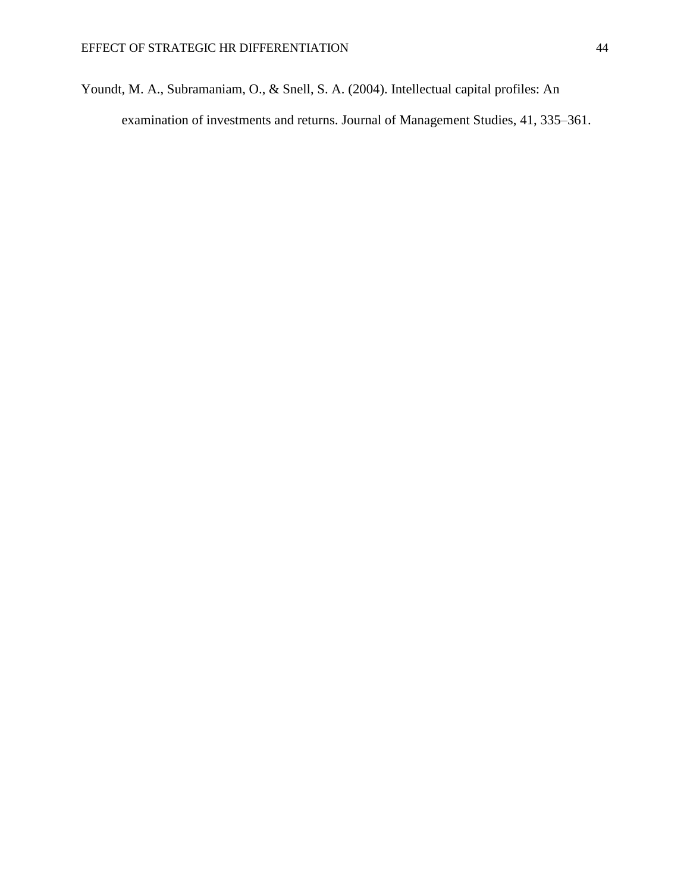Youndt, M. A., Subramaniam, O., & Snell, S. A. (2004). Intellectual capital profiles: An examination of investments and returns. Journal of Management Studies, 41, 335–361.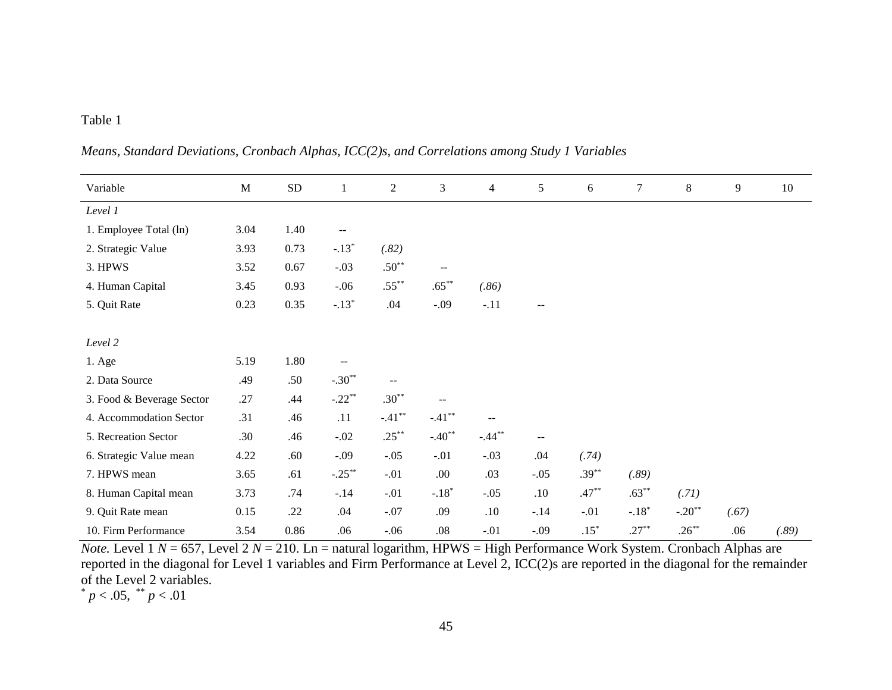# Table 1

| Variable                  | $\mathbf M$ | ${\rm SD}$ | $\mathbf{1}$ | $\boldsymbol{2}$                              | $\mathfrak{Z}$           | $\overline{4}$ | 5                                             | 6        | $\tau$   | $\,8\,$              | 9     | 10    |
|---------------------------|-------------|------------|--------------|-----------------------------------------------|--------------------------|----------------|-----------------------------------------------|----------|----------|----------------------|-------|-------|
| Level 1                   |             |            |              |                                               |                          |                |                                               |          |          |                      |       |       |
| 1. Employee Total (ln)    | 3.04        | 1.40       | $-$          |                                               |                          |                |                                               |          |          |                      |       |       |
| 2. Strategic Value        | 3.93        | 0.73       | $-.13*$      | (.82)                                         |                          |                |                                               |          |          |                      |       |       |
| 3. HPWS                   | 3.52        | 0.67       | $-.03$       | $.50**$                                       | $- -$                    |                |                                               |          |          |                      |       |       |
| 4. Human Capital          | 3.45        | 0.93       | $-0.06$      | $.55***$                                      | $.65***$                 | (.86)          |                                               |          |          |                      |       |       |
| 5. Quit Rate              | 0.23        | 0.35       | $-.13*$      | .04                                           | $-.09$                   | $-.11$         | $-$                                           |          |          |                      |       |       |
|                           |             |            |              |                                               |                          |                |                                               |          |          |                      |       |       |
| Level 2                   |             |            |              |                                               |                          |                |                                               |          |          |                      |       |       |
| 1. Age                    | 5.19        | 1.80       | --           |                                               |                          |                |                                               |          |          |                      |       |       |
| 2. Data Source            | .49         | .50        | $-.30**$     | $\mathord{\hspace{1pt}\text{--}\hspace{1pt}}$ |                          |                |                                               |          |          |                      |       |       |
| 3. Food & Beverage Sector | .27         | .44        | $-.22**$     | $.30**$                                       | $\overline{\phantom{m}}$ |                |                                               |          |          |                      |       |       |
| 4. Accommodation Sector   | .31         | .46        | .11          | $-.41***$                                     | $-.41***$                | $-$            |                                               |          |          |                      |       |       |
| 5. Recreation Sector      | .30         | .46        | $-.02$       | $.25***$                                      | $-.40**$                 | $-.44**$       | $\mathord{\hspace{1pt}\text{--}\hspace{1pt}}$ |          |          |                      |       |       |
| 6. Strategic Value mean   | 4.22        | .60        | $-.09$       | $-.05$                                        | $-.01$                   | $-.03$         | .04                                           | (.74)    |          |                      |       |       |
| 7. HPWS mean              | 3.65        | .61        | $-.25***$    | $-.01$                                        | .00.                     | .03            | $-.05$                                        | $.39***$ | (.89)    |                      |       |       |
| 8. Human Capital mean     | 3.73        | .74        | $-.14$       | $-.01$                                        | $-.18*$                  | $-.05$         | .10                                           | $.47***$ | $.63***$ | (.71)                |       |       |
| 9. Quit Rate mean         | 0.15        | .22        | .04          | $-.07$                                        | .09                      | .10            | $-14$                                         | $-.01$   | $-.18*$  | $-.20$ <sup>**</sup> | (.67) |       |
| 10. Firm Performance      | 3.54        | 0.86       | .06          | $-.06$                                        | .08                      | $-.01$         | $-.09$                                        | $.15*$   | $.27***$ | $.26***$             | .06   | (.89) |

*Means, Standard Deviations, Cronbach Alphas, ICC(2)s, and Correlations among Study 1 Variables*

*Note.* Level 1 *N* = 657, Level 2 *N* = 210. Ln = natural logarithm, HPWS = High Performance Work System. Cronbach Alphas are reported in the diagonal for Level 1 variables and Firm Performance at Level 2, ICC(2)s are reported in the diagonal for the remainder of the Level 2 variables.

 $p < .05$ ,  $\frac{**}{p} < .01$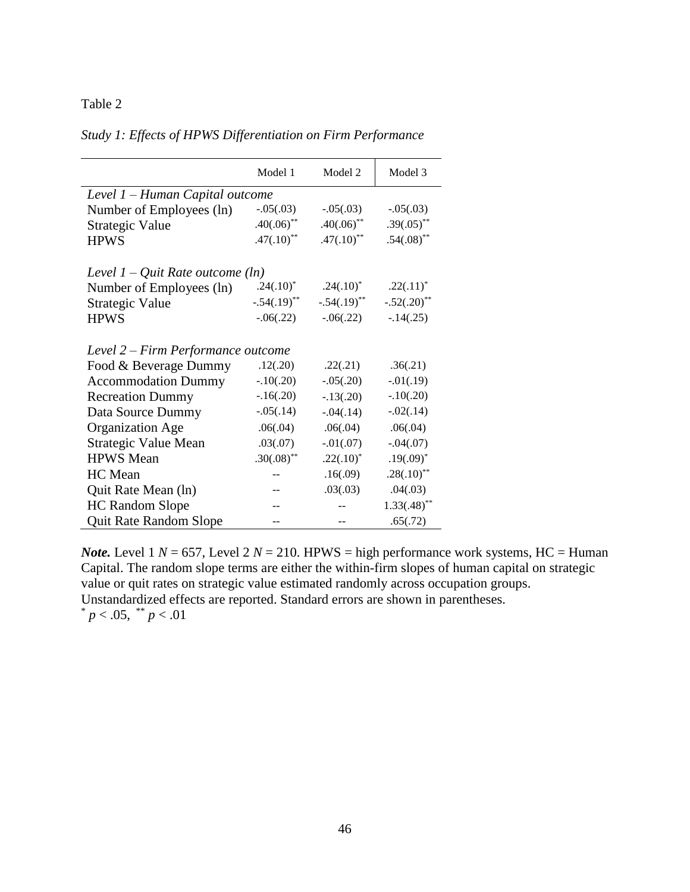# Table 2

| Study 1: Effects of HPWS Differentiation on Firm Performance |  |
|--------------------------------------------------------------|--|
|--------------------------------------------------------------|--|

|                                     | Model 1                   | Model 2                   | Model 3         |  |  |  |  |  |  |  |
|-------------------------------------|---------------------------|---------------------------|-----------------|--|--|--|--|--|--|--|
| Level 1 – Human Capital outcome     |                           |                           |                 |  |  |  |  |  |  |  |
| Number of Employees (ln)            | $-.05(.03)$               | $-.05(.03)$               | $-.05(.03)$     |  |  |  |  |  |  |  |
| Strategic Value                     | $.40(.06)$ **             | $.40(.06)$ **             | $.39(.05)$ **   |  |  |  |  |  |  |  |
| <b>HPWS</b>                         | $.47(.10)^{**}$           | $.47(.10)^{**}$           | $.54(.08)$ **   |  |  |  |  |  |  |  |
| Level $1 - Q$ uit Rate outcome (ln) |                           |                           |                 |  |  |  |  |  |  |  |
| Number of Employees (ln)            | $.24(.10)^*$              | $.24(.10)^*$              | $.22(.11)^*$    |  |  |  |  |  |  |  |
| Strategic Value                     | $-.54(.19)$ <sup>**</sup> | $-.54(.19)$ <sup>**</sup> | $-.52(.20)$ **  |  |  |  |  |  |  |  |
| <b>HPWS</b>                         | $-0.06(0.22)$             | $-0.06(0.22)$             | $-14(.25)$      |  |  |  |  |  |  |  |
| Level 2 – Firm Performance outcome  |                           |                           |                 |  |  |  |  |  |  |  |
| Food & Beverage Dummy               | .12(.20)                  | .22(.21)                  | .36(.21)        |  |  |  |  |  |  |  |
| <b>Accommodation Dummy</b>          | $-.10(.20)$               | $-.05(.20)$               | $-0.01(0.19)$   |  |  |  |  |  |  |  |
| <b>Recreation Dummy</b>             | $-.16(.20)$               | $-.13(.20)$               | $-.10(.20)$     |  |  |  |  |  |  |  |
| Data Source Dummy                   | $-.05(.14)$               | $-.04(.14)$               | $-.02(.14)$     |  |  |  |  |  |  |  |
| <b>Organization Age</b>             | .06(.04)                  | .06(.04)                  | .06(.04)        |  |  |  |  |  |  |  |
| <b>Strategic Value Mean</b>         | .03(.07)                  | $-0.01(0.07)$             | $-.04(.07)$     |  |  |  |  |  |  |  |
| <b>HPWS</b> Mean                    | $.30(.08)$ **             | $.22(.10)^*$              | $.19(.09)^*$    |  |  |  |  |  |  |  |
| <b>HC</b> Mean                      |                           | .16(.09)                  | $.28(.10)^{**}$ |  |  |  |  |  |  |  |
| Quit Rate Mean (ln)                 |                           | .03(.03)                  | .04(.03)        |  |  |  |  |  |  |  |
| <b>HC Random Slope</b>              |                           |                           | $1.33(.48)$ **  |  |  |  |  |  |  |  |
| <b>Quit Rate Random Slope</b>       |                           |                           | .65(.72)        |  |  |  |  |  |  |  |

*Note.* Level 1  $N = 657$ , Level 2  $N = 210$ . HPWS = high performance work systems, HC = Human Capital. The random slope terms are either the within-firm slopes of human capital on strategic value or quit rates on strategic value estimated randomly across occupation groups. Unstandardized effects are reported. Standard errors are shown in parentheses.  $p < .05$ ,  $\sqrt[*]{p} < .01$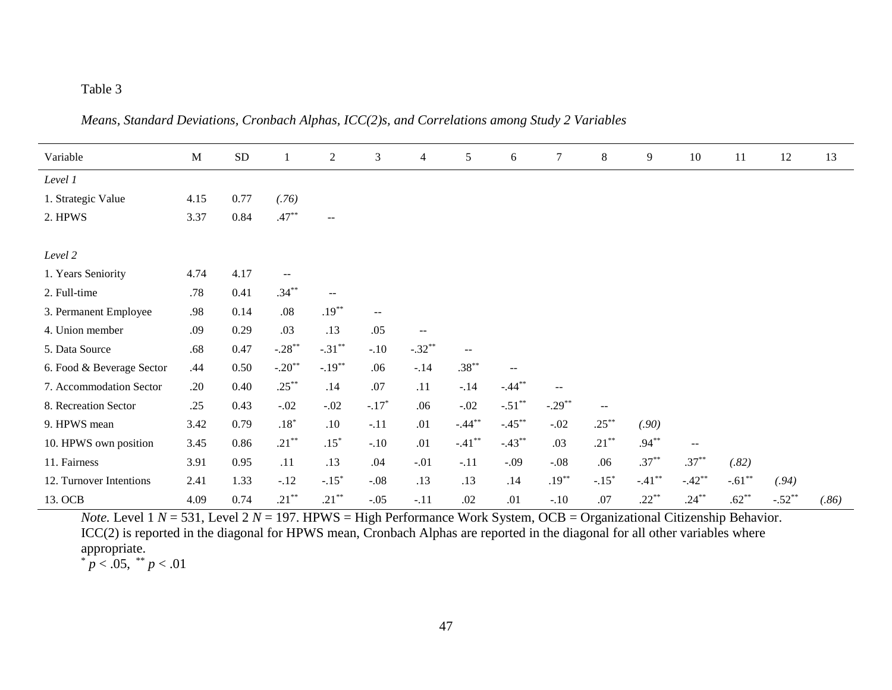# Table 3

*Means, Standard Deviations, Cronbach Alphas, ICC(2)s, and Correlations among Study 2 Variables*

| Variable                  | $\mathbf M$ | <b>SD</b> |              | $\overline{c}$ | $\mathfrak{Z}$           | 4                        | $\sqrt{5}$               | 6         | $\tau$    | 8                        | 9        | 10       | 11       | 12       | 13    |
|---------------------------|-------------|-----------|--------------|----------------|--------------------------|--------------------------|--------------------------|-----------|-----------|--------------------------|----------|----------|----------|----------|-------|
| Level 1                   |             |           |              |                |                          |                          |                          |           |           |                          |          |          |          |          |       |
| 1. Strategic Value        | 4.15        | 0.77      | (.76)        |                |                          |                          |                          |           |           |                          |          |          |          |          |       |
| 2. HPWS                   | 3.37        | 0.84      | $.47***$     | $\sim$ $\sim$  |                          |                          |                          |           |           |                          |          |          |          |          |       |
|                           |             |           |              |                |                          |                          |                          |           |           |                          |          |          |          |          |       |
| Level 2                   |             |           |              |                |                          |                          |                          |           |           |                          |          |          |          |          |       |
| 1. Years Seniority        | 4.74        | 4.17      | $--$         |                |                          |                          |                          |           |           |                          |          |          |          |          |       |
| 2. Full-time              | .78         | 0.41      | $.34***$     | --             |                          |                          |                          |           |           |                          |          |          |          |          |       |
| 3. Permanent Employee     | .98         | 0.14      | .08          | $.19***$       | $\overline{\phantom{m}}$ |                          |                          |           |           |                          |          |          |          |          |       |
| 4. Union member           | .09         | 0.29      | .03          | .13            | .05                      | $\overline{\phantom{m}}$ |                          |           |           |                          |          |          |          |          |       |
| 5. Data Source            | .68         | 0.47      | $-.28**$     | $-.31***$      | $-.10$                   | $-.32**$                 | $\overline{\phantom{a}}$ |           |           |                          |          |          |          |          |       |
| 6. Food & Beverage Sector | .44         | 0.50      | $-.20**$     | $-.19**$       | .06                      | $-.14$                   | $.38***$                 | $--$      |           |                          |          |          |          |          |       |
| 7. Accommodation Sector   | .20         | 0.40      | $.25***$     | .14            | .07                      | .11                      | $-.14$                   | $-.44***$ | $-$       |                          |          |          |          |          |       |
| 8. Recreation Sector      | .25         | 0.43      | $-.02$       | $-.02$         | $-.17*$                  | .06                      | $-.02$                   | $-.51**$  | $-.29***$ | $\overline{\phantom{m}}$ |          |          |          |          |       |
| 9. HPWS mean              | 3.42        | 0.79      | $.18^{\ast}$ | .10            | $-.11$                   | .01                      | $-.44***$                | $-.45***$ | $-.02$    | $.25***$                 | (.90)    |          |          |          |       |
| 10. HPWS own position     | 3.45        | 0.86      | $.21***$     | $.15*$         | $-.10$                   | .01                      | $-.41***$                | $-.43**$  | .03       | $.21***$                 | $.94***$ | $--$     |          |          |       |
| 11. Fairness              | 3.91        | 0.95      | .11          | .13            | .04                      | $-.01$                   | $-.11$                   | $-.09$    | $-.08$    | .06                      | $.37***$ | $.37***$ | (.82)    |          |       |
| 12. Turnover Intentions   | 2.41        | 1.33      | $-.12$       | $-.15*$        | $-.08$                   | .13                      | .13                      | .14       | $.19***$  | $-.15*$                  | $-.41**$ | $-.42**$ | $-.61**$ | (.94)    |       |
| 13. OCB                   | 4.09        | 0.74      | $.21***$     | $.21***$       | $-.05$                   | $-.11$                   | .02                      | .01       | $-.10$    | .07                      | $.22***$ | $.24***$ | $.62***$ | $-.52**$ | (.86) |

*Note.* Level  $1 N = 531$ , Level  $2 N = 197$ . HPWS = High Performance Work System, OCB = Organizational Citizenship Behavior. ICC(2) is reported in the diagonal for HPWS mean, Cronbach Alphas are reported in the diagonal for all other variables where appropriate.

 $p < .05$ ,  $\sqrt[*]{p} < .01$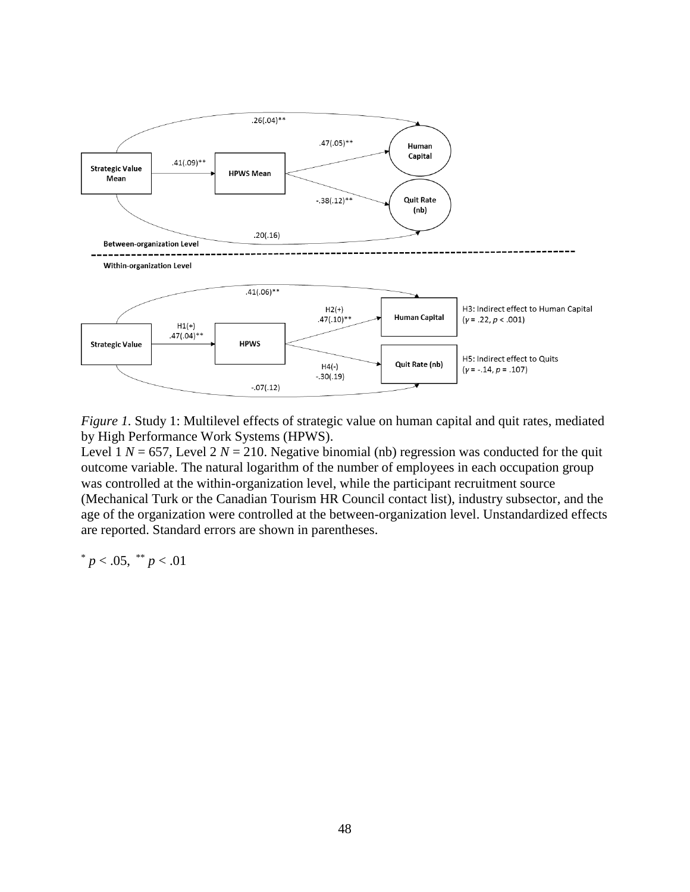

*Figure 1.* Study 1: Multilevel effects of strategic value on human capital and quit rates, mediated by High Performance Work Systems (HPWS).

Level 1  $N = 657$ , Level 2  $N = 210$ . Negative binomial (nb) regression was conducted for the quit outcome variable. The natural logarithm of the number of employees in each occupation group was controlled at the within-organization level, while the participant recruitment source (Mechanical Turk or the Canadian Tourism HR Council contact list), industry subsector, and the age of the organization were controlled at the between-organization level. Unstandardized effects are reported. Standard errors are shown in parentheses.

\* 
$$
p < .05
$$
, \*\*  $p < .01$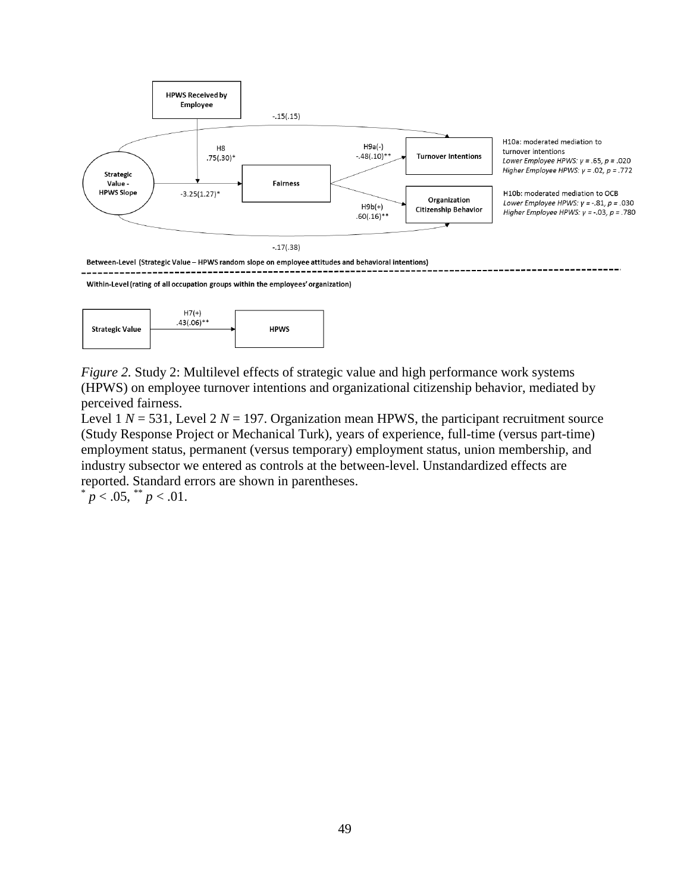



*Figure 2.* Study 2: Multilevel effects of strategic value and high performance work systems (HPWS) on employee turnover intentions and organizational citizenship behavior, mediated by perceived fairness.

Level 1  $N = 531$ , Level 2  $N = 197$ . Organization mean HPWS, the participant recruitment source (Study Response Project or Mechanical Turk), years of experience, full-time (versus part-time) employment status, permanent (versus temporary) employment status, union membership, and industry subsector we entered as controls at the between-level. Unstandardized effects are reported. Standard errors are shown in parentheses.

 $p < .05$ ,  $p < .01$ .